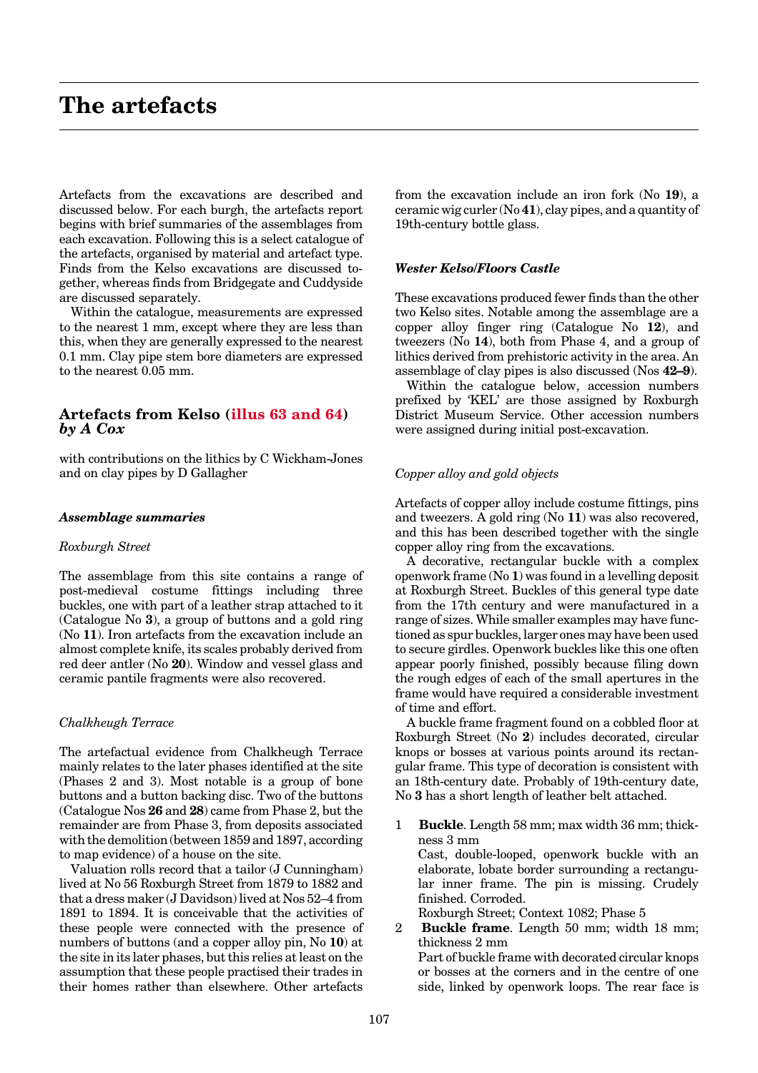# <span id="page-0-0"></span>**The artefacts**

Artefacts from the excavations are described and discussed below. For each burgh, the artefacts report begins with brief summaries of the assemblages from each excavation. Following this is a select catalogue of the artefacts, organised by material and artefact type. Finds from the Kelso excavations are discussed together, whereas finds from Bridgegate and Cuddyside are discussed separately.

Within the catalogue, measurements are expressed to the nearest 1 mm, except where they are less than this, when they are generally expressed to the nearest 0.1 mm. Clay pipe stem bore diameters are expressed to the nearest 0.05 mm.

# **Artefacts from Kelso [\(illus 63](#page-1-0) [and 64\)](#page-4-0)** *by A Cox*

with contributions on the lithics by CWickham-Jones and on clay pipes by D Gallagher

#### *Assemblage summaries*

#### *Roxburgh Street*

The assemblage from this site contains a range of post-medieval costume fittings including three buckles, one with part of a leather strap attached to it (Catalogue No **3**), a group of buttons and a gold ring (No **11**). Iron artefacts from the excavation include an almost complete knife, its scales probably derived from red deer antler (No **20**). Window and vessel glass and ceramic pantile fragments were also recovered.

## *Chalkheugh Terrace*

The artefactual evidence from Chalkheugh Terrace mainly relates to the later phases identified at the site (Phases 2 and 3). Most notable is a group of bone buttons and a button backing disc. Two of the buttons (Catalogue Nos **26** and **28**) came from Phase 2, but the remainder are from Phase 3, from deposits associated with the demolition (between 1859 and 1897, according to map evidence) of a house on the site.

Valuation rolls record that a tailor (J Cunningham) lived at No 56 Roxburgh Street from 1879 to 1882 and that a dress maker (J Davidson) lived at Nos 52–4 from 1891 to 1894. It is conceivable that the activities of these people were connected with the presence of numbers of buttons (and a copper alloy pin, No **10**) at the site in its later phases, but this relies at least on the assumption that these people practised their trades in their homes rather than elsewhere. Other artefacts

from the excavation include an iron fork (No **19**), a ceramic wig curler (No **41**), clay pipes, and a quantity of 19th-century bottle glass.

#### *Wester Kelso/Floors Castle*

These excavations produced fewer finds than the other two Kelso sites. Notable among the assemblage are a copper alloy finger ring (Catalogue No **12**), and tweezers (No **14**), both from Phase 4, and a group of lithics derived from prehistoric activity in the area. An assemblage of clay pipes is also discussed (Nos **42–9**).

Within the catalogue below, accession numbers prefixed by 'KEL' are those assigned by Roxburgh District Museum Service. Other accession numbers were assigned during initial post-excavation.

#### *Copper alloy and gold objects*

Artefacts of copper alloy include costume fittings, pins and tweezers. A gold ring (No **11**) was also recovered, and this has been described together with the single copper alloy ring from the excavations.

A decorative, rectangular buckle with a complex openwork frame (No **1**) was found in a levelling deposit at Roxburgh Street. Buckles of this general type date from the 17th century and were manufactured in a range of sizes. While smaller examples may have functioned as spur buckles, larger ones may have been used to secure girdles. Openwork buckles like this one often appear poorly finished, possibly because filing down the rough edges of each of the small apertures in the frame would have required a considerable investment of time and effort.

A buckle frame fragment found on a cobbled floor at Roxburgh Street (No **2**) includes decorated, circular knops or bosses at various points around its rectangular frame. This type of decoration is consistent with an 18th-century date. Probably of 19th-century date, No **3** has a short length of leather belt attached.

- 1 **Buckle**. Length 58 mm; max width 36 mm; thickness 3 mm Cast, double-looped, openwork buckle with an elaborate, lobate border surrounding a rectangular inner frame. The pin is missing. Crudely finished. Corroded. Roxburgh Street; Context 1082; Phase 5
- 2 **Buckle frame**. Length 50 mm; width 18 mm; thickness 2 mm

Part of buckle frame with decorated circular knops or bosses at the corners and in the centre of one side, linked by openwork loops. The rear face is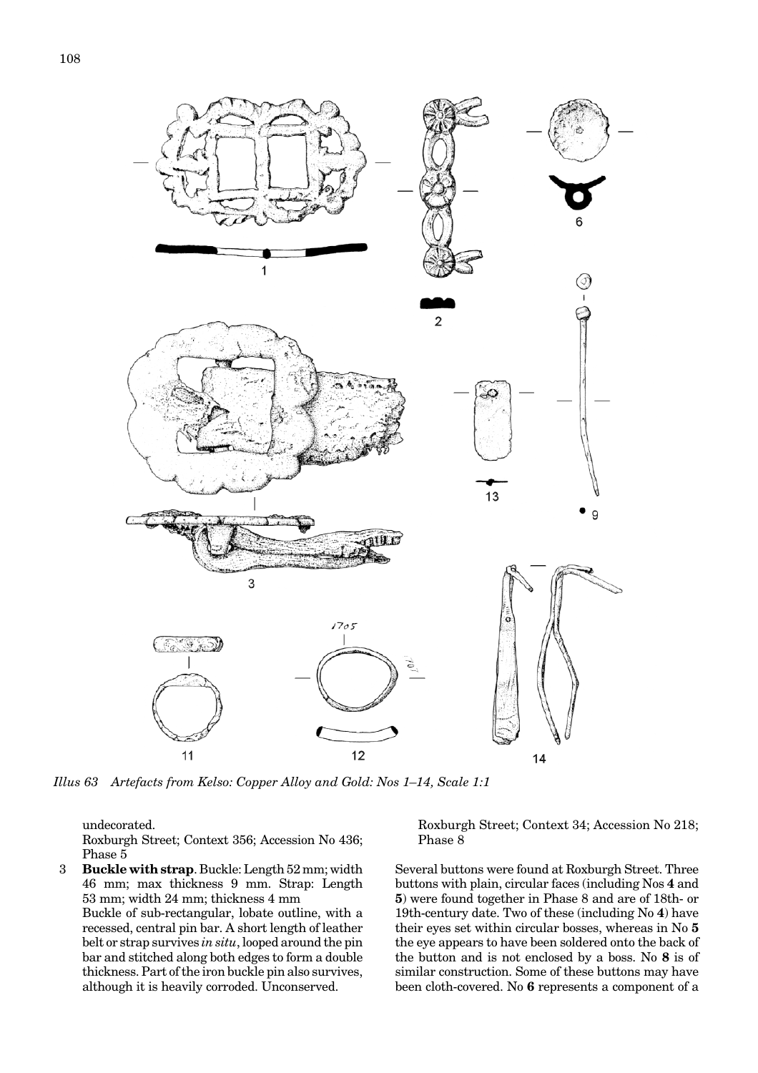<span id="page-1-0"></span>

*Illus 63 Artefacts from Kelso: Copper Alloy and Gold: Nos 1–14, Scale 1:1*

undecorated.

Roxburgh Street; Context 356; Accession No 436; Phase 5

3 **Buckle with strap**. Buckle: Length 52 mm; width 46 mm; max thickness 9 mm. Strap: Length 53 mm; width 24 mm; thickness 4 mm Buckle of sub-rectangular, lobate outline, with a recessed, central pin bar. A short length of leather belt or strap survives *in situ*, looped around the pin bar and stitched along both edges to form a double thickness. Part of the iron buckle pin also survives, although it is heavily corroded. Unconserved.

Roxburgh Street; Context 34; Accession No 218; Phase 8

Several buttons were found at Roxburgh Street. Three buttons with plain, circular faces (including Nos **4** and **5**) were found together in Phase 8 and are of 18th- or 19th-century date. Two of these (including No **4**) have their eyes set within circular bosses, whereas in No **5** the eye appears to have been soldered onto the back of the button and is not enclosed by a boss. No **8** is of similar construction. Some of these buttons may have been cloth-covered. No **6** represents a component of a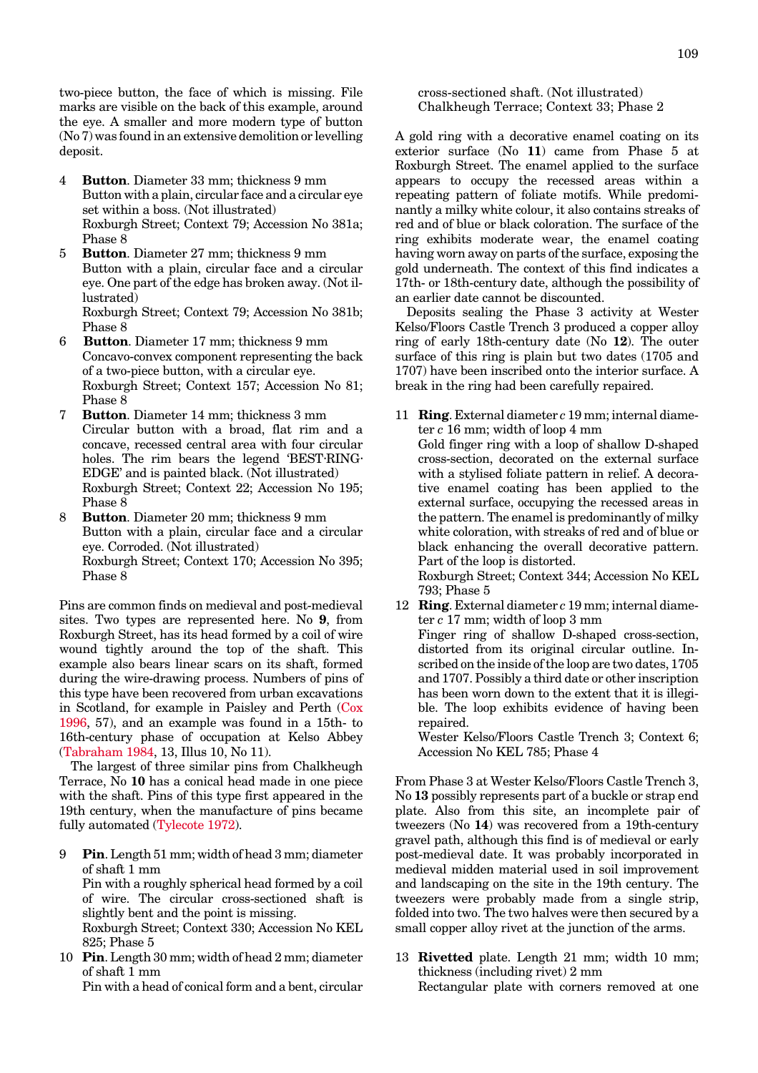<span id="page-2-0"></span>two-piece button, the face of which is missing. File marks are visible on the back of this example, around the eye. A smaller and more modern type of button (No 7) was found in an extensive demolition or levelling deposit.

- 4 **Button**. Diameter 33 mm; thickness 9 mm Button with a plain, circular face and a circular eye set within a boss. (Not illustrated) Roxburgh Street; Context 79; Accession No 381a; Phase 8
- 5 **Button**. Diameter 27 mm; thickness 9 mm Button with a plain, circular face and a circular eye. One part of the edge has broken away. (Not illustrated)

Roxburgh Street; Context 79; Accession No 381b; Phase 8

- 6 **Button**. Diameter 17 mm; thickness 9 mm Concavo-convex component representing the back of a two-piece button, with a circular eye. Roxburgh Street; Context 157; Accession No 81; Phase 8
- 7 **Button**. Diameter 14 mm; thickness 3 mm Circular button with a broad, flat rim and a concave, recessed central area with four circular holes. The rim bears the legend 'BEST⋅RING⋅ EDGE' and is painted black. (Not illustrated) Roxburgh Street; Context 22; Accession No 195; Phase 8
- 8 **Button**. Diameter 20 mm; thickness 9 mm Button with a plain, circular face and a circular eye. Corroded. (Not illustrated) Roxburgh Street; Context 170; Accession No 395; Phase 8

Pins are common finds on medieval and post-medieval sites. Two types are represented here. No **9**, from Roxburgh Street, has its head formed by a coil of wire wound tightly around the top of the shaft. This example also bears linear scars on its shaft, formed during the wire-drawing process. Numbers of pins of this type have been recovered from urban excavations in Scotland, for example in Paisley and Per[th \(Cox](#page-0-0) [1996, 5](#page-0-0)7), and an example was found in a 15th- to 16th-century phase of occupation at Kelso Abbey (Tabraham 1984, 13, Illus 10, No 11).

The largest of three similar pins from Chalkheugh Terrace, No **10** has a conical head made in one piece with the shaft. Pins of this type first appeared in the 19th century, when the manufacture of pins became fully automated (Tylecote 1972).

- 9 **Pin**. Length 51 mm; width of head 3 mm; diameter of shaft 1 mm Pin with a roughly spherical head formed by a coil of wire. The circular cross-sectioned shaft is slightly bent and the point is missing. Roxburgh Street; Context 330; Accession No KEL 825; Phase 5
- 10 **Pin**. Length 30 mm; width of head 2 mm; diameter of shaft 1 mm

Pin with a head of conical form and a bent, circular

## cross-sectioned shaft. (Not illustrated) Chalkheugh Terrace; Context 33; Phase 2

A gold ring with a decorative enamel coating on its exterior surface (No **11**) came from Phase 5 at Roxburgh Street. The enamel applied to the surface appears to occupy the recessed areas within a repeating pattern of foliate motifs. While predominantly a milky white colour, it also contains streaks of red and of blue or black coloration. The surface of the ring exhibits moderate wear, the enamel coating having worn away on parts of the surface, exposing the gold underneath. The context of this find indicates a 17th- or 18th-century date, although the possibility of an earlier date cannot be discounted.

Deposits sealing the Phase 3 activity at Wester Kelso/Floors Castle Trench 3 produced a copper alloy ring of early 18th-century date (No **12**). The outer surface of this ring is plain but two dates (1705 and 1707) have been inscribed onto the interior surface. A break in the ring had been carefully repaired.

- 11 **Ring**. External diameter *c* 19 mm; internal diameter *c* 16 mm; width of loop 4 mm Gold finger ring with a loop of shallow D-shaped cross-section, decorated on the external surface with a stylised foliate pattern in relief. A decorative enamel coating has been applied to the external surface, occupying the recessed areas in the pattern. The enamel is predominantly of milky white coloration, with streaks of red and of blue or black enhancing the overall decorative pattern. Part of the loop is distorted. Roxburgh Street; Context 344; Accession No KEL 793; Phase 5
	- 12 **Ring**. External diameter *c* 19 mm; internal diameter *c* 17 mm; width of loop 3 mm Finger ring of shallow D-shaped cross-section, distorted from its original circular outline. Inscribed on the inside of the loop are two dates, 1705 and 1707. Possibly a third date or other inscription has been worn down to the extent that it is illegible. The loop exhibits evidence of having been repaired.

Wester Kelso/Floors Castle Trench 3; Context 6; Accession No KEL 785; Phase 4

From Phase 3 at Wester Kelso/Floors Castle Trench 3, No **13** possibly represents part of a buckle or strap end plate. Also from this site, an incomplete pair of tweezers (No **14**) was recovered from a 19th-century gravel path, although this find is of medieval or early post-medieval date. It was probably incorporated in medieval midden material used in soil improvement and landscaping on the site in the 19th century. The tweezers were probably made from a single strip, folded into two. The two halves were then secured by a small copper alloy rivet at the junction of the arms.

13 **Rivetted** plate. Length 21 mm; width 10 mm; thickness (including rivet) 2 mm Rectangular plate with corners removed at one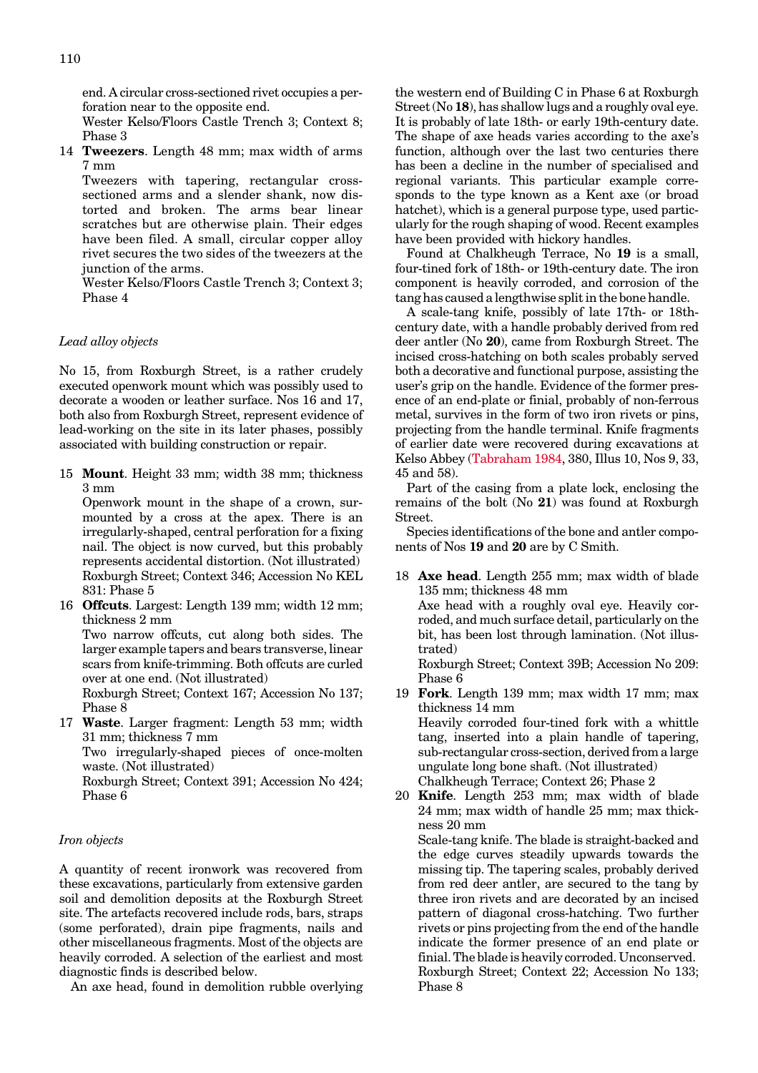<span id="page-3-0"></span>end. A circular cross-sectioned rivet occupies a perforation near to the opposite end.

Wester Kelso/Floors Castle Trench 3; Context 8; Phase 3

14 **Tweezers**. Length 48 mm; max width of arms 7 mm

Tweezers with tapering, rectangular crosssectioned arms and a slender shank, now distorted and broken. The arms bear linear scratches but are otherwise plain. Their edges have been filed. A small, circular copper alloy rivet secures the two sides of the tweezers at the junction of the arms.

Wester Kelso/Floors Castle Trench 3; Context 3; Phase 4

#### *Lead alloy objects*

No 15, from Roxburgh Street, is a rather crudely executed openwork mount which was possibly used to decorate a wooden or leather surface. Nos 16 and 17, both also from Roxburgh Street, represent evidence of lead-working on the site in its later phases, possibly associated with building construction or repair.

15 **Mount**. Height 33 mm; width 38 mm; thickness 3 mm

Openwork mount in the shape of a crown, surmounted by a cross at the apex. There is an irregularly-shaped, central perforation for a fixing nail. The object is now curved, but this probably represents accidental distortion. (Not illustrated) Roxburgh Street; Context 346; Accession No KEL 831: Phase 5

16 **Offcuts**. Largest: Length 139 mm; width 12 mm; thickness 2 mm

Two narrow offcuts, cut along both sides. The larger example tapers and bears transverse, linear scars from knife-trimming. Both offcuts are curled over at one end. (Not illustrated)

Roxburgh Street; Context 167; Accession No 137; Phase 8

17 **Waste**. Larger fragment: Length 53 mm; width 31 mm; thickness 7 mm

Two irregularly-shaped pieces of once-molten waste. (Not illustrated)

Roxburgh Street; Context 391; Accession No 424; Phase 6

#### *Iron objects*

A quantity of recent ironwork was recovered from these excavations, particularly from extensive garden soil and demolition deposits at the Roxburgh Street site. The artefacts recovered include rods, bars, straps (some perforated), drain pipe fragments, nails and other miscellaneous fragments. Most of the objects are heavily corroded. A selection of the earliest and most diagnostic finds is described below.

An axe head, found in demolition rubble overlying

the western end of Building Cin Phase 6 at Roxburgh Street (No 18), has shallow lugs and a roughly oval eye. It is probably of late 18th- or early 19th-century date. The shape of axe heads varies according to the axe's function, although over the last two centuries there has been a decline in the number of specialised and regional variants. This particular example corresponds to the type known as a Kent axe (or broad hatchet), which is a general purpose type, used particularly for the rough shaping of wood. Recent examples have been provided with hickory handles.

Found at Chalkheugh Terrace, No **19** is a small, four-tined fork of 18th- or 19th-century date. The iron component is heavily corroded, and corrosion of the tang has caused a lengthwise split in the bone handle.

A scale-tang knife, possibly of late 17th- or 18thcentury date, with a handle probably derived from red deer antler (No **20**), came from Roxburgh Street. The incised cross-hatching on both scales probably served both a decorative and functional purpose, assisting the user's grip on the handle. Evidence of the former presence of an end-plate or finial, probably of non-ferrous metal, survives in the form of two iron rivets or pins, projecting from the handle terminal. Knife fragments of earlier date were recovered during excavations at Kelso Abbe[y \(Tabraham 1984,](#page-2-0) 380, Illus 10, Nos 9, 33, 45 and 58).

Part of the casing from a plate lock, enclosing the remains of the bolt (No **21**) was found at Roxburgh Street.

Species identifications of the bone and antler components of Nos 19 and 20 are by C Smith.

18 **Axe head**. Length 255 mm; max width of blade 135 mm; thickness 48 mm Axe head with a roughly oval eye. Heavily corroded, and much surface detail, particularly on the bit, has been lost through lamination. (Not illustrated)

Roxburgh Street; Context 39B; Accession No 209: Phase 6

- 19 **Fork**. Length 139 mm; max width 17 mm; max thickness 14 mm Heavily corroded four-tined fork with a whittle tang, inserted into a plain handle of tapering, sub-rectangular cross-section, derived from a large ungulate long bone shaft. (Not illustrated)
- Chalkheugh Terrace; Context 26; Phase 2 20 **Knife**. Length 253 mm; max width of blade 24 mm; max width of handle 25 mm; max thick-

ness 20 mm Scale-tang knife. The blade is straight-backed and the edge curves steadily upwards towards the missing tip. The tapering scales, probably derived from red deer antler, are secured to the tang by three iron rivets and are decorated by an incised pattern of diagonal cross-hatching. Two further rivets or pins projecting from the end of the handle indicate the former presence of an end plate or finial. The blade is heavily corroded. Unconserved. Roxburgh Street; Context 22; Accession No 133; Phase 8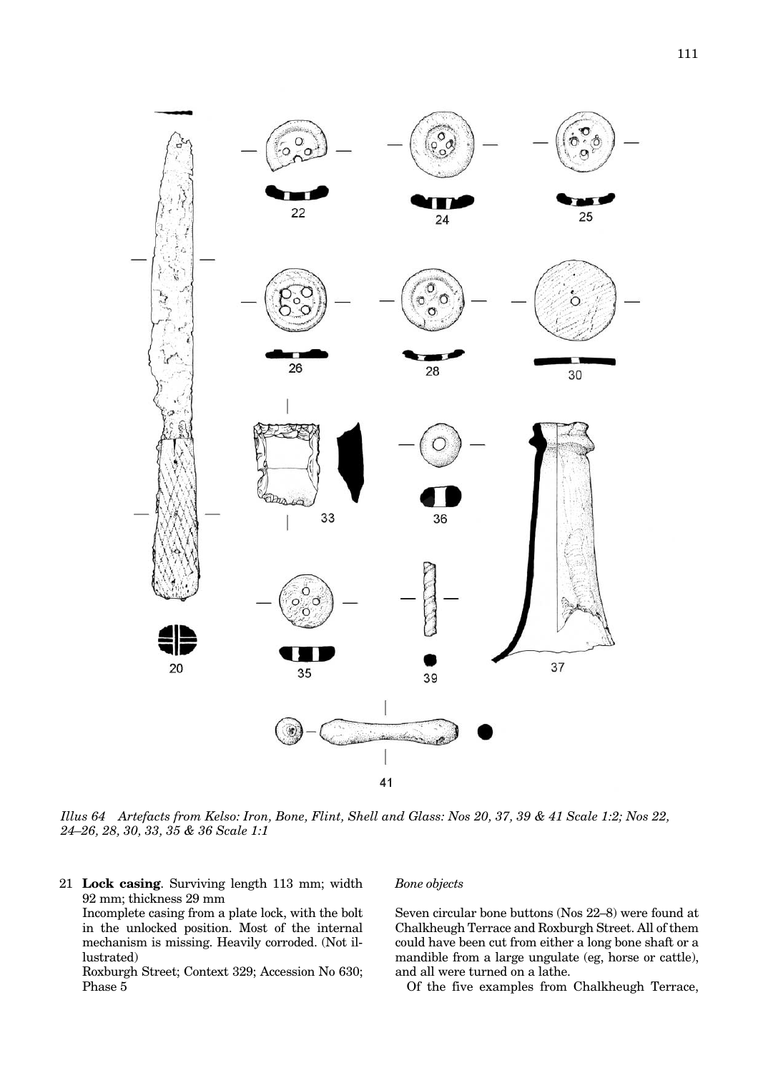<span id="page-4-0"></span>

*Illus 64 Artefacts from Kelso: Iron, Bone, Flint, Shell and Glass: Nos 20, 37, 39 & 41 Scale 1:2; Nos 22, 24–26, 28, 30, 33, 35 & 36 Scale 1:1*

21 **Lock casing**. Surviving length 113 mm; width 92 mm; thickness 29 mm

Incomplete casing from a plate lock, with the bolt in the unlocked position. Most of the internal mechanism is missing. Heavily corroded. (Not illustrated)

Roxburgh Street; Context 329; Accession No 630; Phase 5

# *Bone objects*

Seven circular bone buttons (Nos 22–8) were found at Chalkheugh Terrace and Roxburgh Street. All of them could have been cut from either a long bone shaft or a mandible from a large ungulate (eg, horse or cattle), and all were turned on a lathe.

Of the five examples from Chalkheugh Terrace,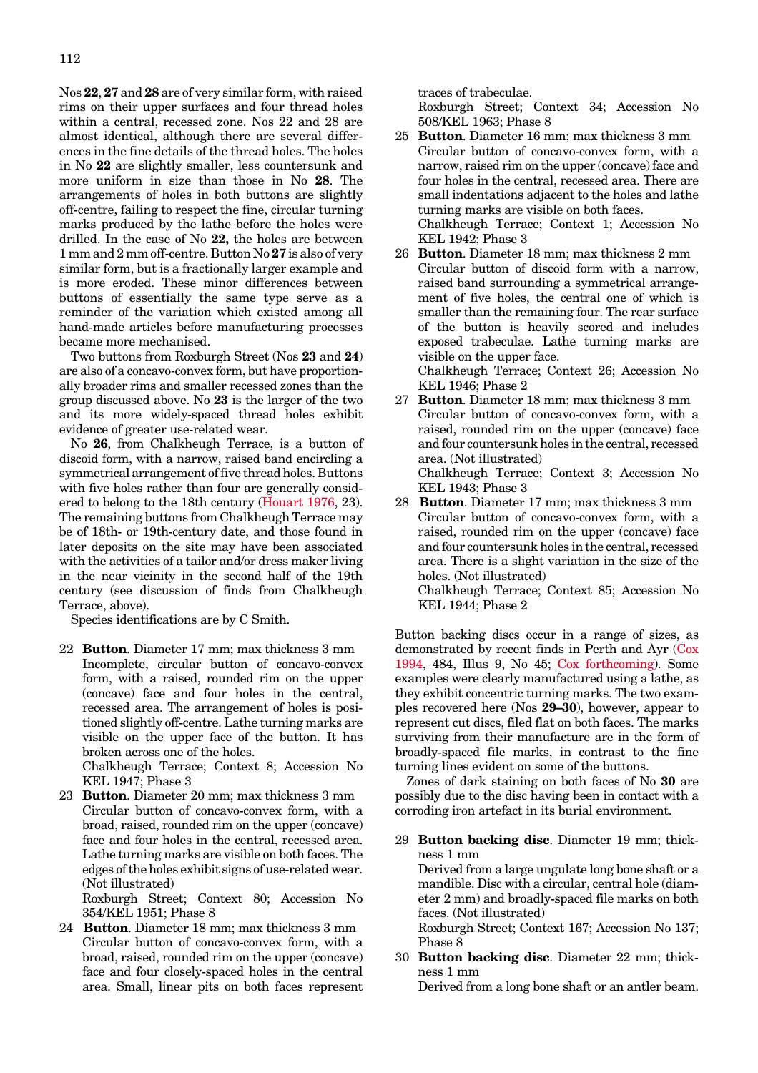Nos **22**, **27** and **28** are of very similar form, with raised rims on their upper surfaces and four thread holes within a central, recessed zone. Nos 22 and 28 are almost identical, although there are several differences in the fine details of the thread holes. The holes in No **22** are slightly smaller, less countersunk and more uniform in size than those in No **28**. The arrangements of holes in both buttons are slightly off-centre, failing to respect the fine, circular turning marks produced by the lathe before the holes were drilled. In the case of No **22,** the holes are between 1 mm and 2 mm off-centre. Button No **27** is also of very similar form, but is a fractionally larger example and is more eroded. These minor differences between buttons of essentially the same type serve as a reminder of the variation which existed among all hand-made articles before manufacturing processes became more mechanised.

Two buttons from Roxburgh Street (Nos **23** and **24**) are also of a concavo-convex form, but have proportionally broader rims and smaller recessed zones than the group discussed above. No **23** is the larger of the two and its more widely-spaced thread holes exhibit evidence of greater use-related wear.

No **26**, from Chalkheugh Terrace, is a button of discoid form, with a narrow, raised band encircling a symmetrical arrangement of five thread holes. Buttons with five holes rather than four are generally considered to belong to the 18th century [\(Houart 1976,](#page-1-0) 23). The remaining buttons from Chalkheugh Terrace may be of 18th- or 19th-century date, and those found in later deposits on the site may have been associated with the activities of a tailor and/or dress maker living in the near vicinity in the second half of the 19th century (see discussion of finds from Chalkheugh Terrace, above).

Species identifications are by C Smith.

- 22 **Button**. Diameter 17 mm; max thickness 3 mm Incomplete, circular button of concavo-convex form, with a raised, rounded rim on the upper (concave) face and four holes in the central, recessed area. The arrangement of holes is positioned slightly off-centre. Lathe turning marks are visible on the upper face of the button. It has broken across one of the holes. Chalkheugh Terrace; Context 8; Accession No KEL 1947; Phase 3
- 23 **Button**. Diameter 20 mm; max thickness 3 mm Circular button of concavo-convex form, with a broad, raised, rounded rim on the upper (concave) face and four holes in the central, recessed area. Lathe turning marks are visible on both faces. The edges of the holes exhibit signs of use-related wear. (Not illustrated)

Roxburgh Street; Context 80; Accession No 354/KEL 1951; Phase 8

24 **Button**. Diameter 18 mm; max thickness 3 mm Circular button of concavo-convex form, with a broad, raised, rounded rim on the upper (concave) face and four closely-spaced holes in the central area. Small, linear pits on both faces represent traces of trabeculae.

Roxburgh Street; Context 34; Accession No 508/KEL 1963; Phase 8

- 25 **Button**. Diameter 16 mm; max thickness 3 mm Circular button of concavo-convex form, with a narrow, raised rim on the upper (concave) face and four holes in the central, recessed area. There are small indentations adjacent to the holes and lathe turning marks are visible on both faces. Chalkheugh Terrace; Context 1; Accession No KEL 1942; Phase 3
- 26 **Button**. Diameter 18 mm; max thickness 2 mm Circular button of discoid form with a narrow, raised band surrounding a symmetrical arrangement of five holes, the central one of which is smaller than the remaining four. The rear surface of the button is heavily scored and includes exposed trabeculae. Lathe turning marks are visible on the upper face. Chalkheugh Terrace; Context 26; Accession No

KEL 1946; Phase 2

- 27 **Button**. Diameter 18 mm; max thickness 3 mm Circular button of concavo-convex form, with a raised, rounded rim on the upper (concave) face and four countersunk holes in the central, recessed area. (Not illustrated) Chalkheugh Terrace; Context 3; Accession No KEL 1943; Phase 3
- 28 **Button**. Diameter 17 mm; max thickness 3 mm Circular button of concavo-convex form, with a raised, rounded rim on the upper (concave) face and four countersunk holes in the central, recessed area. There is a slight variation in the size of the holes. (Not illustrated)

Chalkheugh Terrace; Context 85; Accession No KEL 1944; Phase 2

Button backing discs occur in a range of sizes, as demonstrated by recent finds in Perth and Ayr [\(Cox](#page-0-0) [1994, 4](#page-0-0)84, Illus 9, No 45; [Cox forthcoming\).](#page-0-0) Some examples were clearly manufactured using a lathe, as they exhibit concentric turning marks. The two examples recovered here (Nos **29–30**), however, appear to represent cut discs, filed flat on both faces. The marks surviving from their manufacture are in the form of broadly-spaced file marks, in contrast to the fine turning lines evident on some of the buttons.

Zones of dark staining on both faces of No **30** are possibly due to the disc having been in contact with a corroding iron artefact in its burial environment.

29 **Button backing disc**. Diameter 19 mm; thickness 1 mm

Derived from a large ungulate long bone shaft or a mandible. Disc with a circular, central hole (diameter 2 mm) and broadly-spaced file marks on both faces. (Not illustrated)

Roxburgh Street; Context 167; Accession No 137; Phase 8

30 **Button backing disc**. Diameter 22 mm; thickness 1 mm

Derived from a long bone shaft or an antler beam.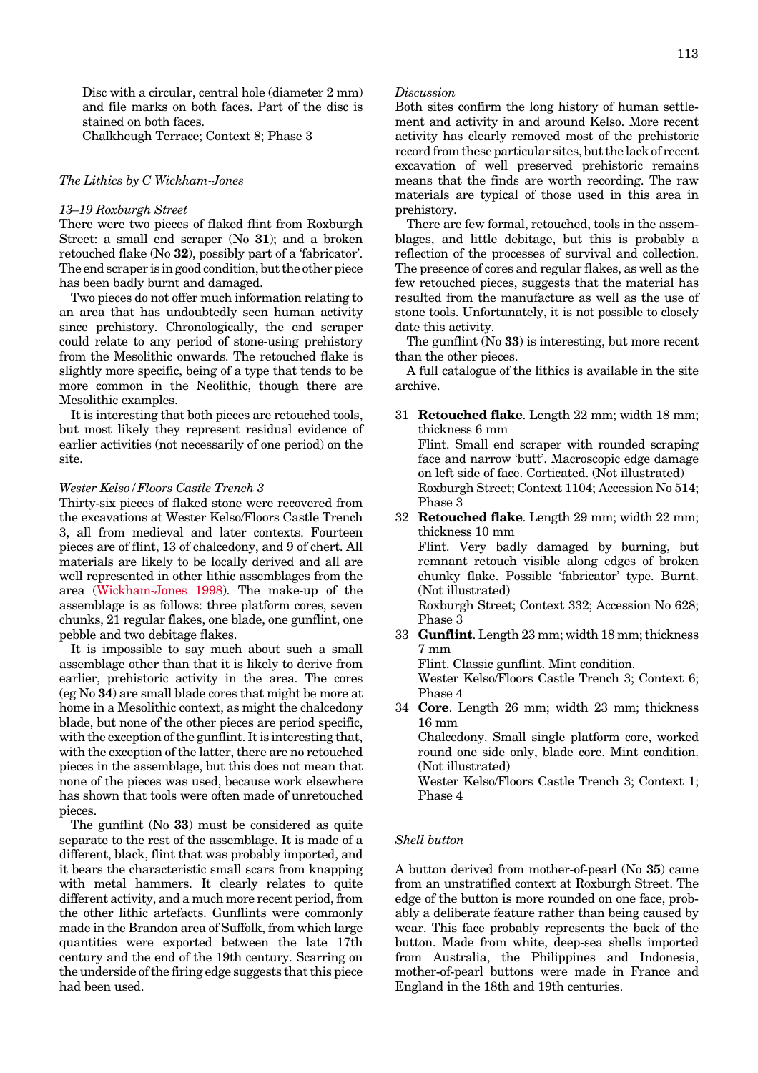Disc with a circular, central hole (diameter 2 mm) and file marks on both faces. Part of the disc is stained on both faces.

Chalkheugh Terrace; Context 8; Phase 3

## *The Lithics by C Wickham-Jones*

## *13–19 Roxburgh Street*

There were two pieces of flaked flint from Roxburgh Street: a small end scraper (No **31**); and a broken retouched flake (No **32**), possibly part of a 'fabricator'. The end scraper is in good condition, but the other piece has been badly burnt and damaged.

Two pieces do not offer much information relating to an area that has undoubtedly seen human activity since prehistory. Chronologically, the end scraper could relate to any period of stone-using prehistory from the Mesolithic onwards. The retouched flake is slightly more specific, being of a type that tends to be more common in the Neolithic, though there are Mesolithic examples.

It is interesting that both pieces are retouched tools, but most likely they represent residual evidence of earlier activities (not necessarily of one period) on the site.

## *Wester Kelso/Floors Castle Trench 3*

Thirty-six pieces of flaked stone were recovered from the excavations at Wester Kelso/Floors Castle Trench 3, all from medieval and later contexts. Fourteen pieces are of flint, 13 of chalcedony, and 9 of chert. All materials are likely to be locally derived and all are well represented in other lithic assemblages from the area [\(Wickham-Jones 1998\).](#page-3-0) The make-up of the assemblage is as follows: three platform cores, seven chunks, 21 regular flakes, one blade, one gunflint, one pebble and two debitage flakes.

It is impossible to say much about such a small assemblage other than that it is likely to derive from earlier, prehistoric activity in the area. The cores (eg No **34**) are small blade cores that might be more at home in a Mesolithic context, as might the chalcedony blade, but none of the other pieces are period specific, with the exception of the gunflint. It is interesting that, with the exception of the latter, there are no retouched pieces in the assemblage, but this does not mean that none of the pieces was used, because work elsewhere has shown that tools were often made of unretouched pieces.

The gunflint (No **33**) must be considered as quite separate to the rest of the assemblage. It is made of a different, black, flint that was probably imported, and it bears the characteristic small scars from knapping with metal hammers. It clearly relates to quite different activity, and a much more recent period, from the other lithic artefacts. Gunflints were commonly made in the Brandon area of Suffolk, from which large quantities were exported between the late 17th century and the end of the 19th century. Scarring on the underside of the firing edge suggests that this piece had been used.

#### *Discussion*

Both sites confirm the long history of human settlement and activity in and around Kelso. More recent activity has clearly removed most of the prehistoric record from these particular sites, but the lack of recent excavation of well preserved prehistoric remains means that the finds are worth recording. The raw materials are typical of those used in this area in prehistory.

There are few formal, retouched, tools in the assemblages, and little debitage, but this is probably a reflection of the processes of survival and collection. The presence of cores and regular flakes, as well as the few retouched pieces, suggests that the material has resulted from the manufacture as well as the use of stone tools. Unfortunately, it is not possible to closely date this activity.

The gunflint (No **33**) is interesting, but more recent than the other pieces.

A full catalogue of the lithics is available in the site archive.

- 31 **Retouched flake**. Length 22 mm; width 18 mm; thickness 6 mm Flint. Small end scraper with rounded scraping face and narrow 'butt'. Macroscopic edge damage on left side of face. Corticated. (Not illustrated) Roxburgh Street; Context 1104; Accession No 514; Phase 3
- 32 **Retouched flake**. Length 29 mm; width 22 mm; thickness 10 mm

Flint. Very badly damaged by burning, but remnant retouch visible along edges of broken chunky flake. Possible 'fabricator' type. Burnt. (Not illustrated)

Roxburgh Street; Context 332; Accession No 628; Phase 3

33 **Gunflint**. Length 23 mm; width 18 mm; thickness 7 mm

Flint. Classic gunflint. Mint condition.

Wester Kelso/Floors Castle Trench 3; Context 6; Phase 4

34 **Core**. Length 26 mm; width 23 mm; thickness 16 mm Chalcedony. Small single platform core, worked round one side only, blade core. Mint condition.

(Not illustrated) Wester Kelso/Floors Castle Trench 3; Context 1; Phase 4

## *Shell button*

A button derived from mother-of-pearl (No **35**) came from an unstratified context at Roxburgh Street. The edge of the button is more rounded on one face, probably a deliberate feature rather than being caused by wear. This face probably represents the back of the button. Made from white, deep-sea shells imported from Australia, the Philippines and Indonesia, mother-of-pearl buttons were made in France and England in the 18th and 19th centuries.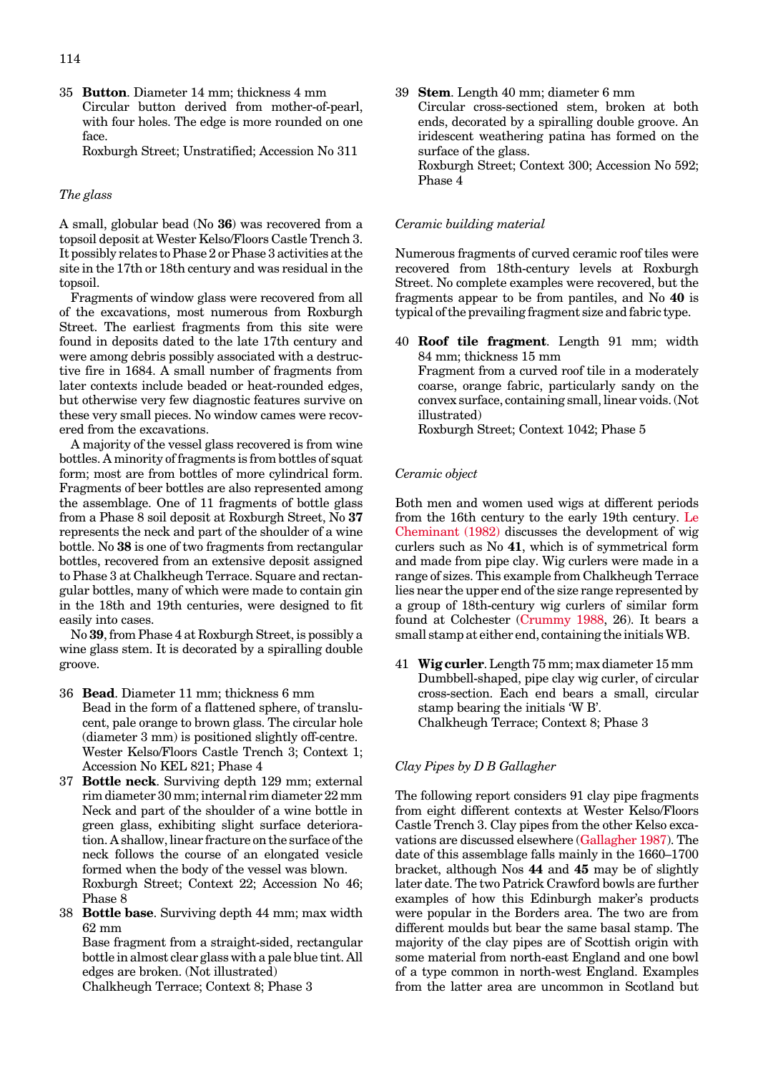35 **Button**. Diameter 14 mm; thickness 4 mm Circular button derived from mother-of-pearl, with four holes. The edge is more rounded on one face.

Roxburgh Street; Unstratified; Accession No 311

#### *The glass*

A small, globular bead (No **36**) was recovered from a topsoil deposit at Wester Kelso/Floors Castle Trench 3. It possibly relates to Phase 2 or Phase 3 activities at the site in the 17th or 18th century and was residual in the topsoil.

Fragments of window glass were recovered from all of the excavations, most numerous from Roxburgh Street. The earliest fragments from this site were found in deposits dated to the late 17th century and were among debris possibly associated with a destructive fire in 1684. A small number of fragments from later contexts include beaded or heat-rounded edges, but otherwise very few diagnostic features survive on these very small pieces. No window cames were recovered from the excavations.

A majority of the vessel glass recovered is from wine bottles. A minority of fragments is from bottles of squat form; most are from bottles of more cylindrical form. Fragments of beer bottles are also represented among the assemblage. One of 11 fragments of bottle glass from a Phase 8 soil deposit at Roxburgh Street, No **37** represents the neck and part of the shoulder of a wine bottle. No **38** is one of two fragments from rectangular bottles, recovered from an extensive deposit assigned to Phase 3 at Chalkheugh Terrace. Square and rectangular bottles, many of which were made to contain gin in the 18th and 19th centuries, were designed to fit easily into cases.

No **39**, from Phase 4 at Roxburgh Street, is possibly a wine glass stem. It is decorated by a spiralling double groove.

- 36 **Bead**. Diameter 11 mm; thickness 6 mm Bead in the form of a flattened sphere, of translucent, pale orange to brown glass. The circular hole (diameter 3 mm) is positioned slightly off-centre. Wester Kelso/Floors Castle Trench 3; Context 1; Accession No KEL 821; Phase 4
- 37 **Bottle neck**. Surviving depth 129 mm; external rim diameter 30 mm; internal rim diameter 22 mm Neck and part of the shoulder of a wine bottle in green glass, exhibiting slight surface deterioration. A shallow, linear fracture on the surface of the neck follows the course of an elongated vesicle formed when the body of the vessel was blown. Roxburgh Street; Context 22; Accession No 46; Phase 8
- 38 **Bottle base**. Surviving depth 44 mm; max width 62 mm

Base fragment from a straight-sided, rectangular bottle in almost clear glass with a pale blue tint. All edges are broken. (Not illustrated)

Chalkheugh Terrace; Context 8; Phase 3

39 **Stem**. Length 40 mm; diameter 6 mm Circular cross-sectioned stem, broken at both ends, decorated by a spiralling double groove. An iridescent weathering patina has formed on the surface of the glass. Roxburgh Street; Context 300; Accession No 592; Phase 4

#### *Ceramic building material*

Numerous fragments of curved ceramic roof tiles were recovered from 18th-century levels at Roxburgh Street. No complete examples were recovered, but the fragments appear to be from pantiles, and No **40** is typical of the prevailing fragment size and fabric type.

40 **Roof tile fragment**. Length 91 mm; width 84 mm; thickness 15 mm Fragment from a curved roof tile in a moderately coarse, orange fabric, particularly sandy on the convex surface, containing small, linear voids. (Not illustrated) Roxburgh Street; Context 1042; Phase 5

#### *Ceramic object*

Both men and women used wigs at different periods from the 16th century to the early 19th century. Le [Cheminant \(1982\)](#page-0-0) discusses the development of wig curlers such as No **41**, which is of symmetrical form and made from pipe clay. Wig curlers were made in a range of sizes. This example from Chalkheugh Terrace lies near the upper end of the size range represented by a group of 18th-century wig curlers of similar form found at Colchester [\(Crummy 1988,](#page-0-0) 26). It bears a small stamp at either end, containing the initials WB.

41 **Wig curler**. Length 75 mm; max diameter 15 mm Dumbbell-shaped, pipe clay wig curler, of circular cross-section. Each end bears a small, circular stamp bearing the initials 'W B'. Chalkheugh Terrace; Context 8; Phase 3

## *Clay Pipes byDBGallagher*

The following report considers 91 clay pipe fragments from eight different contexts at Wester Kelso/Floors Castle Trench 3. Clay pipes from the other Kelso excavations are discussed elsewher[e \(Gallagher 1987\). T](#page-1-0)he date of this assemblage falls mainly in the 1660–1700 bracket, although Nos **44** and **45** may be of slightly later date. The two Patrick Crawford bowls are further examples of how this Edinburgh maker's products were popular in the Borders area. The two are from different moulds but bear the same basal stamp. The majority of the clay pipes are of Scottish origin with some material from north-east England and one bowl of a type common in north-west England. Examples from the latter area are uncommon in Scotland but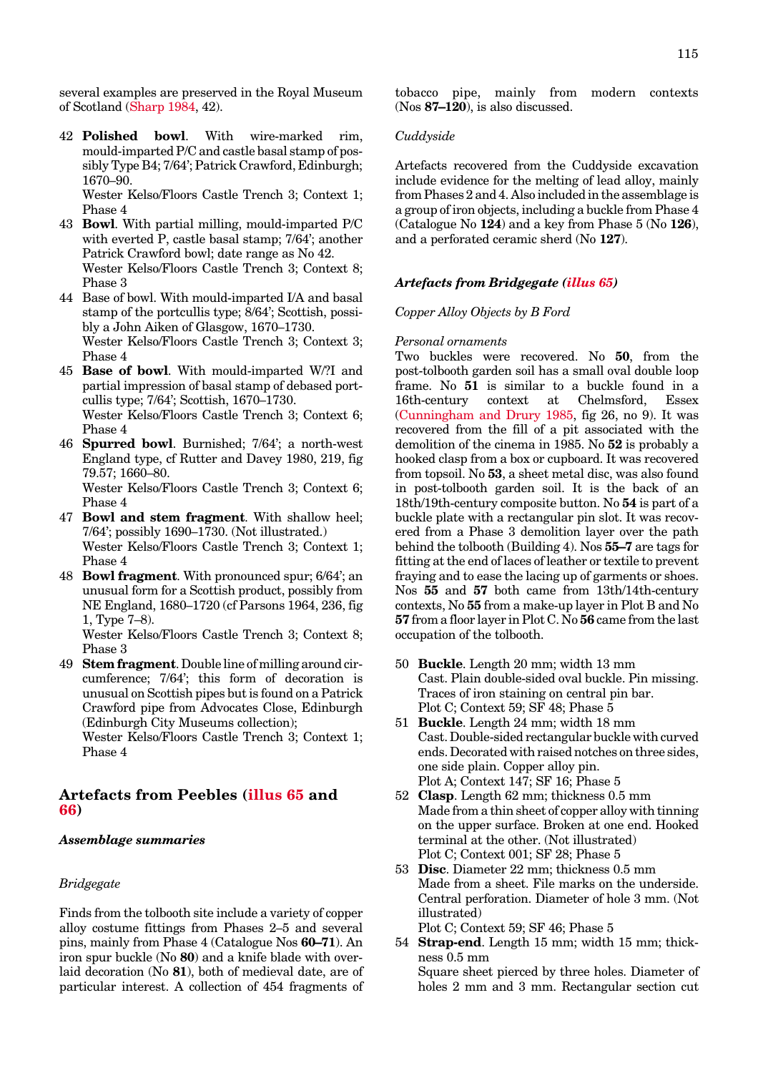several examples are preserved in the Royal Museum of Scotlan[d \(Sharp 1984,](#page-2-0) 42).

42 **Polished bowl**. With wire-marked rim, mould-imparted P/C and castle basal stamp of possibly Type B4; 7/64'; Patrick Crawford, Edinburgh; 1670–90.

Wester Kelso/Floors Castle Trench 3; Context 1; Phase 4

- 43 **Bowl**. With partial milling, mould-imparted P/C with everted P, castle basal stamp; 7/64'; another Patrick Crawford bowl; date range as No 42. Wester Kelso/Floors Castle Trench 3; Context 8; Phase 3
- 44 Base of bowl. With mould-imparted I/A and basal stamp of the portcullis type; 8/64'; Scottish, possibly a John Aiken of Glasgow, 1670–1730. Wester Kelso/Floors Castle Trench 3; Context 3; Phase 4
- 45 **Base of bowl**. With mould-imparted W/?I and partial impression of basal stamp of debased portcullis type; 7/64'; Scottish, 1670–1730. Wester Kelso/Floors Castle Trench 3; Context 6; Phase 4
- 46 **Spurred bowl**. Burnished; 7/64'; a north-west England type, cf Rutter and Davey 1980, 219, fig 79.57; 1660–80. Wester Kelso/Floors Castle Trench 3; Context 6; Phase 4
- 47 **Bowl and stem fragment**. With shallow heel; 7/64'; possibly 1690–1730. (Not illustrated.) Wester Kelso/Floors Castle Trench 3; Context 1; Phase 4
- 48 **Bowl fragment**. With pronounced spur; 6/64'; an unusual form for a Scottish product, possibly from NE England, 1680–1720 (cf Parsons 1964, 236, fig 1, Type 7–8).

Wester Kelso/Floors Castle Trench 3; Context 8; Phase 3

49 **Stem fragment**. Double line of milling around circumference; 7/64'; this form of decoration is unusual on Scottish pipes but is found on a Patrick Crawford pipe from Advocates Close, Edinburgh (Edinburgh City Museums collection);

Wester Kelso/Floors Castle Trench 3; Context 1; Phase 4

# **Artefacts from Peeble[s \(illus 65](#page-9-0) and [66\)](#page-15-0)**

#### *Assemblage summaries*

#### *Bridgegate*

Finds from the tolbooth site include a variety of copper alloy costume fittings from Phases 2–5 and several pins, mainly from Phase 4 (Catalogue Nos **60–71**). An iron spur buckle (No **80**) and a knife blade with overlaid decoration (No **81**), both of medieval date, are of particular interest. A collection of 454 fragments of tobacco pipe, mainly from modern contexts (Nos **87–120**), is also discussed.

## *Cuddyside*

Artefacts recovered from the Cuddyside excavation include evidence for the melting of lead alloy, mainly from Phases 2 and 4. Also included in the assemblage is a group of iron objects, including a buckle from Phase 4 (Catalogue No **124**) and a key from Phase 5 (No **126**), and a perforated ceramic sherd (No **127**).

#### *Artefacts from Bridgegate [\(illus 65\)](#page-9-0)*

#### *Copper Alloy Objects by B Ford*

#### *Personal ornaments*

Two buckles were recovered. No **50**, from the post-tolbooth garden soil has a small oval double loop frame. No **51** is similar to a buckle found in a 16th-century context at Chelmsford, Essex [\(Cunningham and Drury 1985,](#page-0-0) fig 26, no 9). It was recovered from the fill of a pit associated with the demolition of the cinema in 1985. No **52** is probably a hooked clasp from a box or cupboard. It was recovered from topsoil. No **53**, a sheet metal disc, was also found in post-tolbooth garden soil. It is the back of an 18th/19th-century composite button. No **54** is part of a buckle plate with a rectangular pin slot. It was recovered from a Phase 3 demolition layer over the path behind the tolbooth (Building 4). Nos **55–7** are tags for fitting at the end of laces of leather or textile to prevent fraying and to ease the lacing up of garments or shoes. Nos **55** and **57** both came from 13th/14th-century contexts, No **55** from a make-up layer in Plot B and No **57** from a floor layer in Plot C. No **56** came from the last occupation of the tolbooth.

- 50 **Buckle**. Length 20 mm; width 13 mm Cast. Plain double-sided oval buckle. Pin missing. Traces of iron staining on central pin bar. Plot C; Context 59; SF 48; Phase 5
- 51 **Buckle**. Length 24 mm; width 18 mm Cast. Double-sided rectangular buckle with curved ends. Decorated with raised notches on three sides, one side plain. Copper alloy pin. Plot A; Context 147; SF 16; Phase 5
- 52 **Clasp**. Length 62 mm; thickness 0.5 mm Made from a thin sheet of copper alloy with tinning on the upper surface. Broken at one end. Hooked terminal at the other. (Not illustrated) Plot C; Context 001; SF 28; Phase 5
- 53 **Disc**. Diameter 22 mm; thickness 0.5 mm Made from a sheet. File marks on the underside. Central perforation. Diameter of hole 3 mm. (Not illustrated)

Plot C; Context 59; SF 46; Phase 5

54 **Strap-end**. Length 15 mm; width 15 mm; thickness 0.5 mm Square sheet pierced by three holes. Diameter of holes 2 mm and 3 mm. Rectangular section cut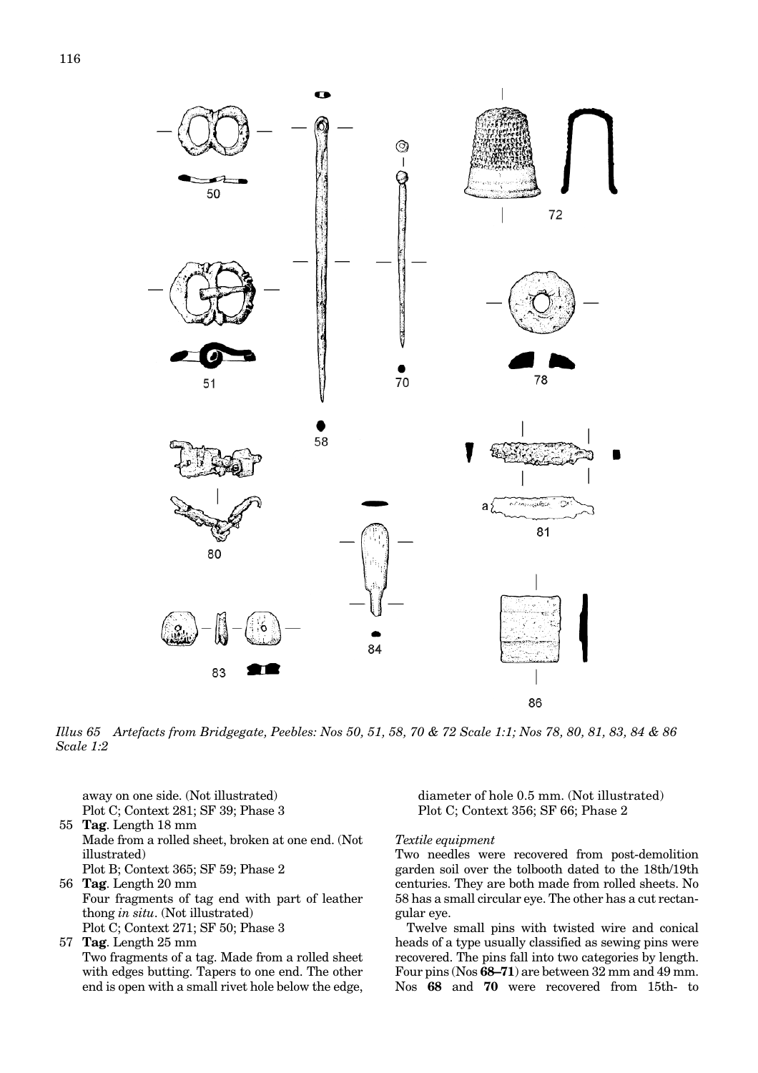<span id="page-9-0"></span>

*Illus 65 Artefacts from Bridgegate, Peebles: Nos 50, 51, 58, 70 & 72 Scale 1:1; Nos 78, 80, 81, 83, 84 & 86 Scale 1:2*

away on one side. (Not illustrated) Plot C; Context 281; SF 39; Phase 3

- 55 **Tag**. Length 18 mm Made from a rolled sheet, broken at one end. (Not illustrated) Plot B; Context 365; SF 59; Phase 2
- 56 **Tag**. Length 20 mm Four fragments of tag end with part of leather thong *in situ*. (Not illustrated) Plot C; Context 271; SF 50; Phase 3
- 57 **Tag**. Length 25 mm Two fragments of a tag. Made from a rolled sheet with edges butting. Tapers to one end. The other end is open with a small rivet hole below the edge,

diameter of hole 0.5 mm. (Not illustrated) Plot C; Context 356; SF 66; Phase 2

#### *Textile equipment*

Two needles were recovered from post-demolition garden soil over the tolbooth dated to the 18th/19th centuries. They are both made from rolled sheets. No 58 has a small circular eye. The other has a cut rectangular eye.

Twelve small pins with twisted wire and conical heads of a type usually classified as sewing pins were recovered. The pins fall into two categories by length. Four pins (Nos **68–71**) are between 32 mm and 49 mm. Nos **68** and **70** were recovered from 15th- to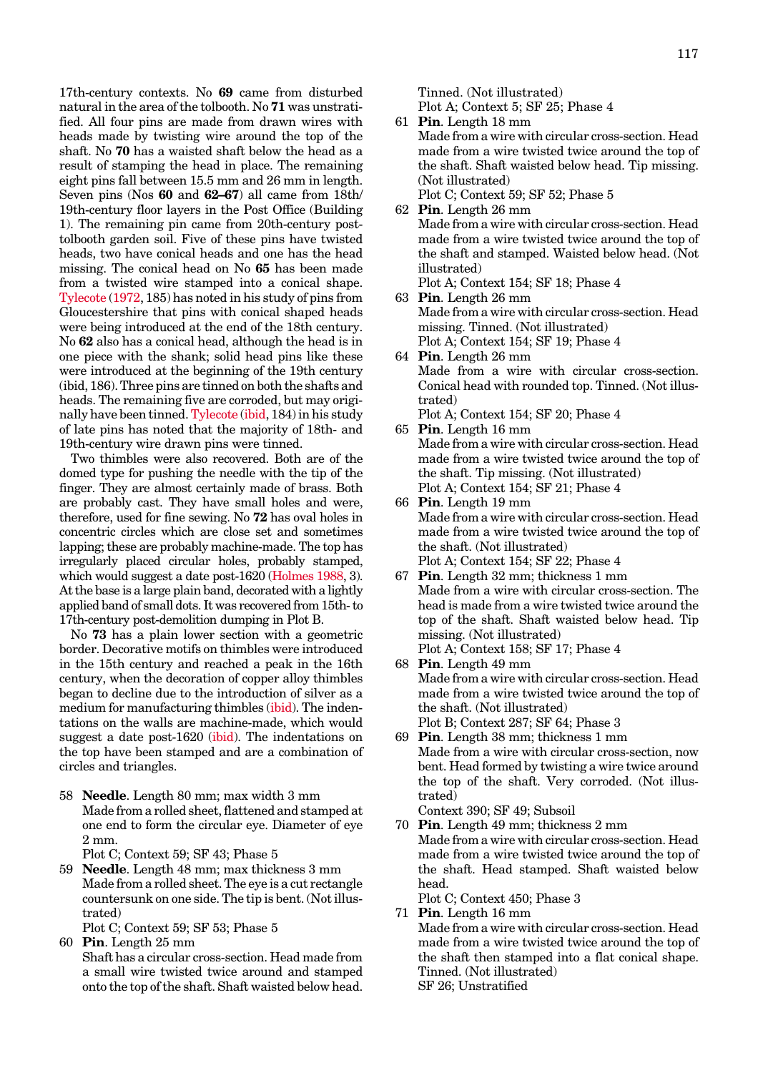17th-century contexts. No **69** came from disturbed natural in the area of the tolbooth. No **71** was unstratified. All four pins are made from drawn wires with heads made by twisting wire around the top of the shaft. No **70** has a waisted shaft below the head as a result of stamping the head in place. The remaining eight pins fall between 15.5 mm and 26 mm in length. Seven pins (Nos **60** and **62–67**) all came from 18th/ 19th-century floor layers in the Post Office (Building 1). The remaining pin came from 20th-century posttolbooth garden soil. Five of these pins have twisted heads, two have conical heads and one has the head missing. The conical head on No **65** has been made from a twisted wire stamped into a conical shape. Tylecote [\(1972, 18](#page-2-0)5) has noted in his study of pins from Gloucestershire that pins with conical shaped heads were being introduced at the end of the 18th century. No **62** also has a conical head, although the head is in one piece with the shank; solid head pins like these were introduced at the beginning of the 19th century (ibid, 186). Three pins are tinned on both the shafts and heads. The remaining five are corroded, but may originally have been tinned. [Tylecote](#page-2-0) (ibid, 184) in his study of late pins has noted that the majority of 18th- and 19th-century wire drawn pins were tinned.

Two thimbles were also recovered. Both are of the domed type for pushing the needle with the tip of the finger. They are almost certainly made of brass. Both are probably cast. They have small holes and were, therefore, used for fine sewing. No **72** has oval holes in concentric circles which are close set and sometimes lapping; these are probably machine-made. The top has irregularly placed circular holes, probably stamped, which would suggest a date post-1620 [\(Holmes 1988](#page-1-0), 3). At the base is a large plain band, decorated with a lightly applied band of small dots. It was recovered from 15th- to 17th-century post-demolition dumping in Plot B.

No **73** has a plain lower section with a geometric border. Decorative motifs on thimbles were introduced in the 15th century and reached a peak in the 16th century, when the decoration of copper alloy thimbles began to decline due to the introduction of silver as a medium for manufacturing thimble[s \(ibid\). T](#page-1-0)he indentations on the walls are machine-made, which would suggest a date post-1620 [\(ibid\).](#page-1-0) The indentations on the top have been stamped and are a combination of circles and triangles.

58 **Needle**. Length 80 mm; max width 3 mm Made from a rolled sheet, flattened and stamped at one end to form the circular eye. Diameter of eye 2 mm.

Plot C; Context 59; SF 43; Phase 5

59 **Needle**. Length 48 mm; max thickness 3 mm Made from a rolled sheet. The eye is a cut rectangle countersunk on one side. The tip is bent. (Not illustrated)

Plot C; Context 59; SF 53; Phase 5

60 **Pin**. Length 25 mm Shaft has a circular cross-section. Head made from a small wire twisted twice around and stamped onto the top of the shaft. Shaft waisted below head. Tinned. (Not illustrated)

Plot A; Context 5; SF 25; Phase 4

- 61 **Pin**. Length 18 mm Made from a wire with circular cross-section. Head made from a wire twisted twice around the top of the shaft. Shaft waisted below head. Tip missing. (Not illustrated) Plot C; Context 59; SF 52; Phase 5
- 62 **Pin**. Length 26 mm Made from a wire with circular cross-section. Head made from a wire twisted twice around the top of the shaft and stamped. Waisted below head. (Not illustrated) Plot A; Context 154; SF 18; Phase 4
- 63 **Pin**. Length 26 mm Made from a wire with circular cross-section. Head missing. Tinned. (Not illustrated) Plot A; Context 154; SF 19; Phase 4
- 64 **Pin**. Length 26 mm Made from a wire with circular cross-section. Conical head with rounded top. Tinned. (Not illustrated) Plot A; Context 154; SF 20; Phase 4
- 65 **Pin**. Length 16 mm Made from a wire with circular cross-section. Head made from a wire twisted twice around the top of the shaft. Tip missing. (Not illustrated) Plot A; Context 154; SF 21; Phase 4
- 66 **Pin**. Length 19 mm Made from a wire with circular cross-section. Head made from a wire twisted twice around the top of the shaft. (Not illustrated) Plot A; Context 154; SF 22; Phase 4
- 67 **Pin**. Length 32 mm; thickness 1 mm Made from a wire with circular cross-section. The head is made from a wire twisted twice around the top of the shaft. Shaft waisted below head. Tip missing. (Not illustrated) Plot A; Context 158; SF 17; Phase 4
- 68 **Pin**. Length 49 mm Made from a wire with circular cross-section. Head made from a wire twisted twice around the top of the shaft. (Not illustrated) Plot B; Context 287; SF 64; Phase 3
- 69 **Pin**. Length 38 mm; thickness 1 mm Made from a wire with circular cross-section, now bent. Head formed by twisting a wire twice around the top of the shaft. Very corroded. (Not illustrated)

Context 390; SF 49; Subsoil

70 **Pin**. Length 49 mm; thickness 2 mm Made from a wire with circular cross-section. Head made from a wire twisted twice around the top of the shaft. Head stamped. Shaft waisted below head.

Plot C; Context 450; Phase 3

71 **Pin**. Length 16 mm Made from a wire with circular cross-section. Head made from a wire twisted twice around the top of the shaft then stamped into a flat conical shape. Tinned. (Not illustrated) SF 26; Unstratified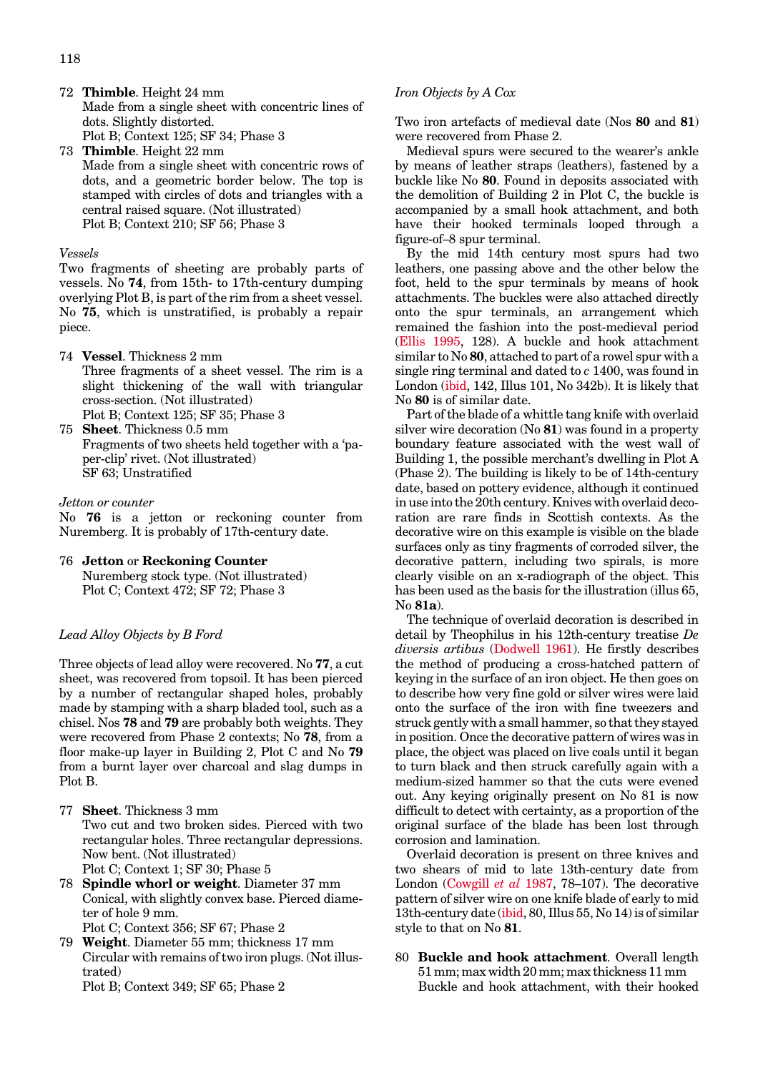- 72 **Thimble**. Height 24 mm Made from a single sheet with concentric lines of dots. Slightly distorted. Plot B; Context 125; SF 34; Phase 3
- 73 **Thimble**. Height 22 mm Made from a single sheet with concentric rows of dots, and a geometric border below. The top is stamped with circles of dots and triangles with a central raised square. (Not illustrated) Plot B; Context 210; SF 56; Phase 3

#### *Vessels*

Two fragments of sheeting are probably parts of vessels. No **74**, from 15th- to 17th-century dumping overlying Plot B, is part of the rim from a sheet vessel. No **75**, which is unstratified, is probably a repair piece.

- 74 **Vessel**. Thickness 2 mm Three fragments of a sheet vessel. The rim is a slight thickening of the wall with triangular cross-section. (Not illustrated) Plot B; Context 125; SF 35; Phase 3
- 75 **Sheet**. Thickness 0.5 mm Fragments of two sheets held together with a 'paper-clip' rivet. (Not illustrated) SF 63; Unstratified

#### *Jetton or counter*

No **76** is a jetton or reckoning counter from Nuremberg. It is probably of 17th-century date.

76 **Jetton** or **Reckoning Counter** Nuremberg stock type. (Not illustrated) Plot C; Context 472; SF 72; Phase 3

#### *Lead Alloy Objects by B Ford*

Three objects of lead alloy were recovered. No **77**, a cut sheet, was recovered from topsoil. It has been pierced by a number of rectangular shaped holes, probably made by stamping with a sharp bladed tool, such as a chisel. Nos **78** and **79** are probably both weights. They were recovered from Phase 2 contexts; No **78**, from a floor make-up layer in Building 2, Plot Cand No **79** from a burnt layer over charcoal and slag dumps in Plot B.

- 77 **Sheet**. Thickness 3 mm Two cut and two broken sides. Pierced with two rectangular holes. Three rectangular depressions. Now bent. (Not illustrated) Plot C; Context 1; SF 30; Phase 5
- 78 **Spindle whorl or weight**. Diameter 37 mm Conical, with slightly convex base. Pierced diameter of hole 9 mm.
	- Plot C; Context 356; SF 67; Phase 2
- 79 **Weight**. Diameter 55 mm; thickness 17 mm Circular with remains of two iron plugs. (Not illustrated)

Plot B; Context 349; SF 65; Phase 2

#### *Iron Objects by A Cox*

Two iron artefacts of medieval date (Nos **80** and **81**) were recovered from Phase 2.

Medieval spurs were secured to the wearer's ankle by means of leather straps (leathers), fastened by a buckle like No **80**. Found in deposits associated with the demolition of Building 2 in Plot C, the buckle is accompanied by a small hook attachment, and both have their hooked terminals looped through a figure-of–8 spur terminal.

By the mid 14th century most spurs had two leathers, one passing above and the other below the foot, held to the spur terminals by means of hook attachments. The buckles were also attached directly onto the spur terminals, an arrangement which remained the fashion into the post-medieval period [\(Ellis 1995,](#page-0-0) 128). A buckle and hook attachment similar to No **80**, attached to part of a rowel spur with a single ring terminal and dated to *c* 1400, was found in London [\(ibid, 1](#page-0-0)42, Illus 101, No 342b). It is likely that No **80** is of similar date.

Part of the blade of a whittle tang knife with overlaid silver wire decoration (No **81**) was found in a property boundary feature associated with the west wall of Building 1, the possible merchant's dwelling in Plot A (Phase 2). The building is likely to be of 14th-century date, based on pottery evidence, although it continued in use into the 20th century. Knives with overlaid decoration are rare finds in Scottish contexts. As the decorative wire on this example is visible on the blade surfaces only as tiny fragments of corroded silver, the decorative pattern, including two spirals, is more clearly visible on an x-radiograph of the object. This has been used as the basis for the illustration (illus 65, No **81a**).

The technique of overlaid decoration is described in detail by Theophilus in his 12th-century treatise *De diversis artibus* [\(Dodwell 1961\).](#page-0-0) He firstly describes the method of producing a cross-hatched pattern of keying in the surface of an iron object. He then goes on to describe how very fine gold or silver wires were laid onto the surface of the iron with fine tweezers and struck gently with a small hammer, so that they stayed in position. Once the decorative pattern of wires was in place, the object was placed on live coals until it began to turn black and then struck carefully again with a medium-sized hammer so that the cuts were evened out. Any keying originally present on No 81 is now difficult to detect with certainty, as a proportion of the original surface of the blade has been lost through corrosion and lamination.

Overlaid decoration is present on three knives and two shears of mid to late 13th-century date from London [\(Cowgill](#page-0-0) *et al* 1987, 78–107). The decorative pattern of silver wire on one knife blade of early to mid 13th-century date [\(ibid, 8](#page-0-0)0, Illus 55, No 14) is of similar style to that on No **81**.

#### 80 **Buckle and hook attachment**. Overall length 51 mm; max width 20 mm; max thickness 11 mm Buckle and hook attachment, with their hooked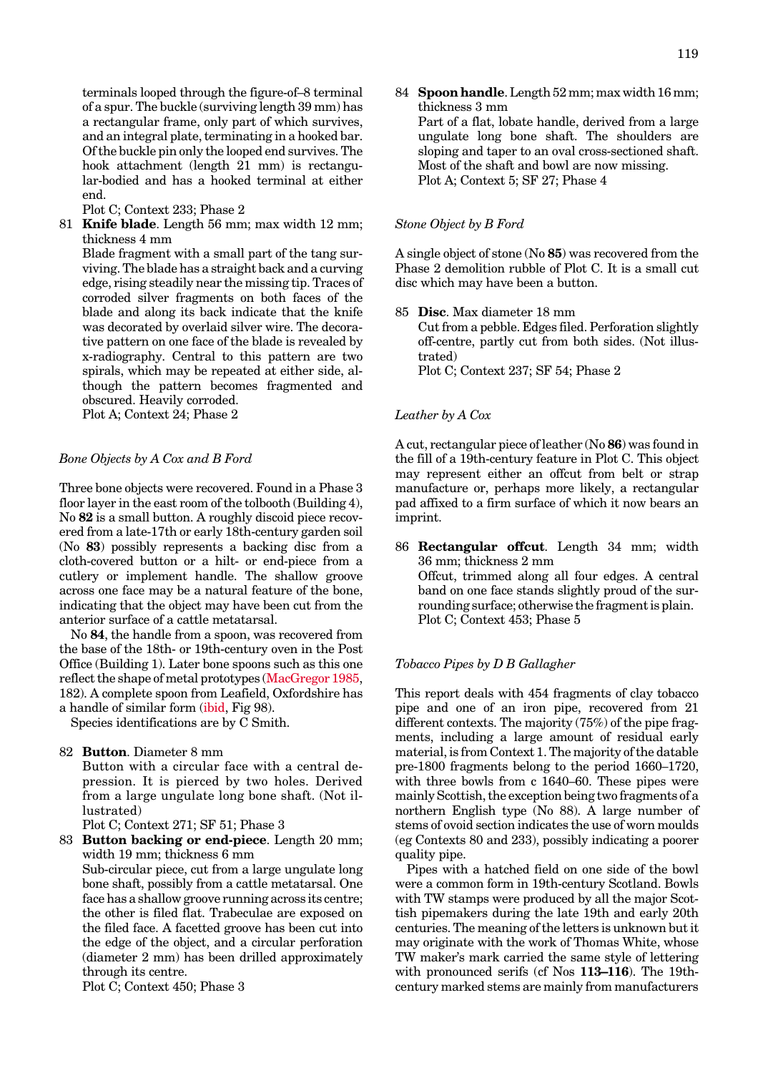terminals looped through the figure-of–8 terminal of a spur. The buckle (surviving length 39 mm) has a rectangular frame, only part of which survives, and an integral plate, terminating in a hooked bar. Of the buckle pin only the looped end survives. The hook attachment (length 21 mm) is rectangular-bodied and has a hooked terminal at either end.

Plot C; Context 233; Phase 2

81 **Knife blade**. Length 56 mm; max width 12 mm; thickness 4 mm

Blade fragment with a small part of the tang surviving. The blade has a straight back and a curving edge, rising steadily near the missing tip. Traces of corroded silver fragments on both faces of the blade and along its back indicate that the knife was decorated by overlaid silver wire. The decorative pattern on one face of the blade is revealed by x-radiography. Central to this pattern are two spirals, which may be repeated at either side, although the pattern becomes fragmented and obscured. Heavily corroded.

Plot A; Context 24; Phase 2

## *Bone Objects by A Cox and B Ford*

Three bone objects were recovered. Found in a Phase 3 floor layer in the east room of the tolbooth (Building 4), No **82** is a small button. A roughly discoid piece recovered from a late-17th or early 18th-century garden soil (No **83**) possibly represents a backing disc from a cloth-covered button or a hilt- or end-piece from a cutlery or implement handle. The shallow groove across one face may be a natural feature of the bone, indicating that the object may have been cut from the anterior surface of a cattle metatarsal.

No **84**, the handle from a spoon, was recovered from the base of the 18th- or 19th-century oven in the Post Office (Building 1). Later bone spoons such as this one reflect the shape of metal prototypes [\(MacGregor 1985,](#page-1-0) 182). A complete spoon from Leafield, Oxfordshire has a handle of similar for[m \(ibid,](#page-1-0) Fig 98).

Species identifications are by C Smith.

82 **Button**. Diameter 8 mm Button with a circular face with a central depression. It is pierced by two holes. Derived from a large ungulate long bone shaft. (Not illustrated)

Plot C; Context 271; SF 51; Phase 3

83 **Button backing or end-piece**. Length 20 mm; width 19 mm; thickness 6 mm Sub-circular piece, cut from a large ungulate long bone shaft, possibly from a cattle metatarsal. One face has a shallow groove running across its centre; the other is filed flat. Trabeculae are exposed on the filed face. A facetted groove has been cut into the edge of the object, and a circular perforation (diameter 2 mm) has been drilled approximately through its centre.

Plot C; Context 450; Phase 3

84 **Spoon handle**. Length 52 mm; max width 16 mm; thickness 3 mm Part of a flat, lobate handle, derived from a large ungulate long bone shaft. The shoulders are sloping and taper to an oval cross-sectioned shaft. Most of the shaft and bowl are now missing. Plot A; Context 5; SF 27; Phase 4

#### *Stone Object by B Ford*

A single object of stone (No **85**) was recovered from the Phase 2 demolition rubble of Plot C. It is a small cut disc which may have been a button.

85 **Disc**. Max diameter 18 mm Cut from a pebble. Edges filed. Perforation slightly off-centre, partly cut from both sides. (Not illustrated) Plot C; Context 237; SF 54; Phase 2

#### *Leather by A Cox*

A cut, rectangular piece of leather (No **86**) was found in the fill of a 19th-century feature in Plot C. This object may represent either an offcut from belt or strap manufacture or, perhaps more likely, a rectangular pad affixed to a firm surface of which it now bears an imprint.

86 **Rectangular offcut**. Length 34 mm; width 36 mm; thickness 2 mm Offcut, trimmed along all four edges. A central band on one face stands slightly proud of the surrounding surface; otherwise the fragment is plain. Plot C; Context 453; Phase 5

#### *Tobacco Pipes byDBGallagher*

This report deals with 454 fragments of clay tobacco pipe and one of an iron pipe, recovered from 21 different contexts. The majority (75%) of the pipe fragments, including a large amount of residual early material, is from Context 1. The majority of the datable pre-1800 fragments belong to the period 1660–1720, with three bowls from c 1640–60. These pipes were mainly Scottish, the exception being two fragments of a northern English type (No 88). A large number of stems of ovoid section indicates the use of worn moulds (eg Contexts 80 and 233), possibly indicating a poorer quality pipe.

Pipes with a hatched field on one side of the bowl were a common form in 19th-century Scotland. Bowls with TW stamps were produced by all the major Scottish pipemakers during the late 19th and early 20th centuries. The meaning of the letters is unknown but it may originate with the work of Thomas White, whose TW maker's mark carried the same style of lettering with pronounced serifs (cf Nos **113–116**). The 19thcentury marked stems are mainly from manufacturers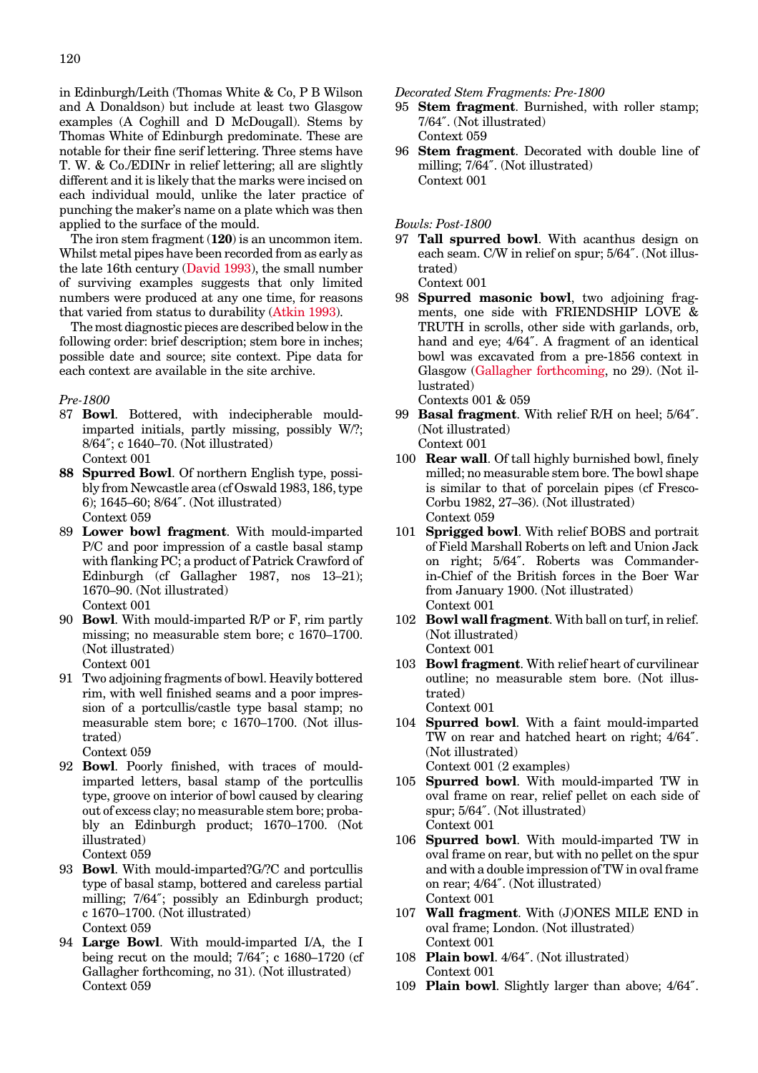in Edinburgh/Leith (Thomas White & Co, P B Wilson and A Donaldson) but include at least two Glasgow examples (A Coghill and D McDougall). Stems by Thomas White of Edinburgh predominate. These are notable for their fine serif lettering. Three stems have T. W. & Co./EDINr in relief lettering; all are slightly different and it is likely that the marks were incised on each individual mould, unlike the later practice of punching the maker's name on a plate which was then applied to the surface of the mould.

The iron stem fragment (**120**) is an uncommon item. Whilst metal pipes have been recorded from as early as the late 16th century [\(David 1993\),](#page-0-0) the small number of surviving examples suggests that only limited numbers were produced at any one time, for reasons that varied from status to durabilit[y \(Atkin 1993\).](#page-0-0)

The most diagnostic pieces are described below in the following order: brief description; stem bore in inches; possible date and source; site context. Pipe data for each context are available in the site archive.

#### *Pre-1800*

- 87 **Bowl**. Bottered, with indecipherable mouldimparted initials, partly missing, possibly W/?; 8/64″; c 1640–70. (Not illustrated) Context 001
- **88 Spurred Bowl**. Of northern English type, possibly from Newcastle area (cf Oswald 1983, 186, type 6); 1645–60; 8/64″. (Not illustrated) Context 059
- 89 **Lower bowl fragment**. With mould-imparted P/C and poor impression of a castle basal stamp with flanking PC; a product of Patrick Crawford of Edinburgh (cf Gallagher 1987, nos 13–21); 1670–90. (Not illustrated) Context 001
- 90 **Bowl**. With mould-imparted R/P or F, rim partly missing; no measurable stem bore; c 1670–1700. (Not illustrated) Context 001
- 91 Two adjoining fragments of bowl. Heavily bottered rim, with well finished seams and a poor impression of a portcullis/castle type basal stamp; no measurable stem bore; c 1670–1700. (Not illustrated)
- Context 059 92 **Bowl**. Poorly finished, with traces of mouldimparted letters, basal stamp of the portcullis
- type, groove on interior of bowl caused by clearing out of excess clay; no measurable stem bore; probably an Edinburgh product; 1670–1700. (Not illustrated) Context 059
- 93 **Bowl**. With mould-imparted?G/?C and portcullis type of basal stamp, bottered and careless partial milling; 7/64″; possibly an Edinburgh product; c 1670–1700. (Not illustrated) Context 059
- 94 **Large Bowl**. With mould-imparted I/A, the I being recut on the mould; 7/64″; c 1680–1720 (cf Gallagher forthcoming, no 31). (Not illustrated) Context 059

*Decorated Stem Fragments: Pre-1800*

- 95 **Stem fragment**. Burnished, with roller stamp; 7/64″. (Not illustrated) Context 059
- 96 **Stem fragment**. Decorated with double line of milling; 7/64″. (Not illustrated) Context 001

*Bowls: Post-1800*

97 **Tall spurred bowl**. With acanthus design on each seam. C/W in relief on spur; 5/64″. (Not illustrated) Context 001

98 **Spurred masonic bowl**, two adjoining fragments, one side with FRIENDSHIP LOVE & TRUTH in scrolls, other side with garlands, orb, hand and eye; 4/64″. A fragment of an identical bowl was excavated from a pre-1856 context in Glasgow [\(Gallagher forthcoming, n](#page-1-0)o 29). (Not illustrated)

Contexts 001 & 059

- 99 **Basal fragment**. With relief R/H on heel; 5/64″. (Not illustrated) Context 001
- 100 **Rear wall**. Of tall highly burnished bowl, finely milled; no measurable stem bore. The bowl shape is similar to that of porcelain pipes (cf Fresco-Corbu 1982, 27–36). (Not illustrated) Context 059
- 101 **Sprigged bowl**. With relief BOBS and portrait of Field Marshall Roberts on left and Union Jack on right; 5/64″. Roberts was Commanderin-Chief of the British forces in the Boer War from January 1900. (Not illustrated) Context 001
- 102 **Bowl wall fragment**. With ball on turf, in relief. (Not illustrated) Context 001
- 103 **Bowl fragment**. With relief heart of curvilinear outline; no measurable stem bore. (Not illustrated) Context 001
- 104 **Spurred bowl**. With a faint mould-imparted TW on rear and hatched heart on right; 4/64″. (Not illustrated) Context 001 (2 examples)
- 105 **Spurred bowl**. With mould-imparted TW in oval frame on rear, relief pellet on each side of spur; 5/64″. (Not illustrated) Context 001
- 106 **Spurred bowl**. With mould-imparted TW in oval frame on rear, but with no pellet on the spur and with a double impression of TW in oval frame on rear; 4/64″. (Not illustrated) Context 001
- 107 **Wall fragment**. With (J)ONES MILE END in oval frame; London. (Not illustrated) Context 001
- 108 **Plain bowl**. 4/64″. (Not illustrated) Context 001
- 109 **Plain bowl**. Slightly larger than above; 4/64″.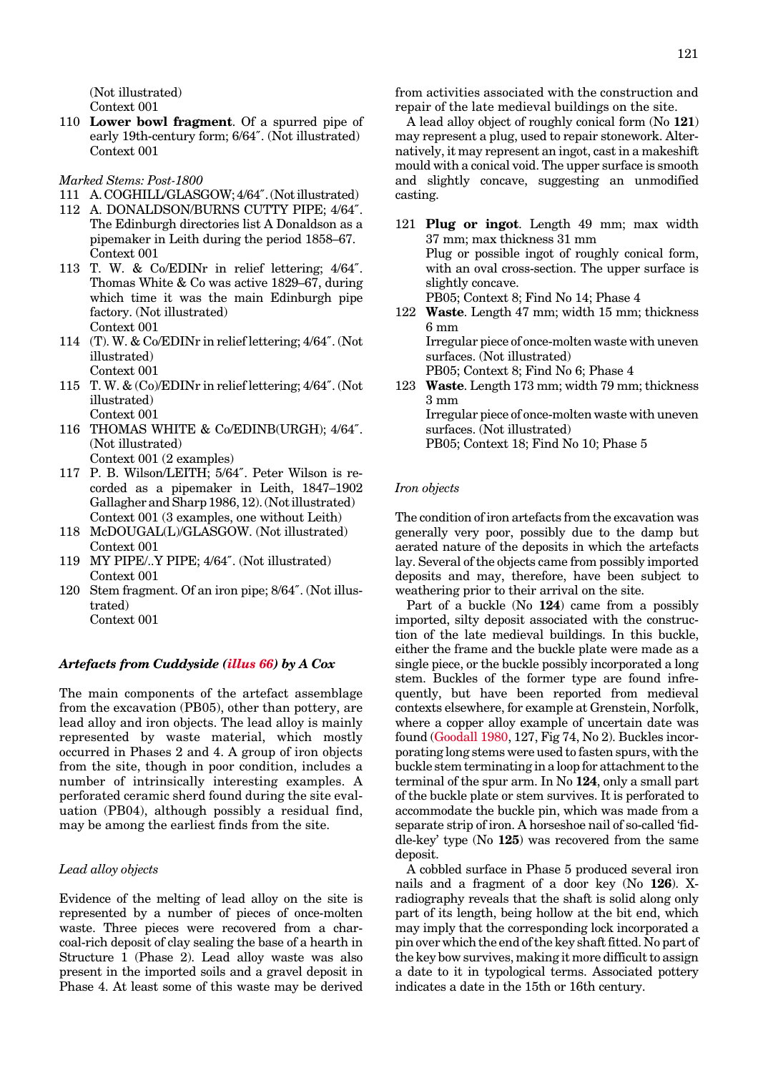(Not illustrated) Context 001

110 **Lower bowl fragment**. Of a spurred pipe of early 19th-century form; 6/64″. (Not illustrated) Context 001

#### *Marked Stems: Post-1800*

- 111 A.COGHILL/GLASGOW;4/64″.(Notillustrated)
- 112 A. DONALDSON/BURNS CUTTY PIPE; 4/64″. The Edinburgh directories list A Donaldson as a pipemaker in Leith during the period 1858–67. Context 001
- 113 T. W. & Co/EDINr in relief lettering; 4/64″. Thomas White & Co was active 1829–67, during which time it was the main Edinburgh pipe factory. (Not illustrated) Context 001
- 114 (T). W. & Co/EDINr in relief lettering; 4/64″. (Not illustrated) Context 001
- 115 T. W. & (Co)/EDINr in relief lettering; 4/64″. (Not illustrated)
- Context 001 116 THOMAS WHITE & Co/EDINB(URGH); 4/64″. (Not illustrated)

Context 001 (2 examples)

- 117 P. B. Wilson/LEITH; 5/64″. Peter Wilson is recorded as a pipemaker in Leith, 1847–1902 Gallagher and Sharp 1986, 12). (Not illustrated) Context 001 (3 examples, one without Leith)
- 118 McDOUGAL(L)/GLASGOW. (Not illustrated) Context 001
- 119 MY PIPE/..Y PIPE; 4/64″. (Not illustrated) Context 001
- 120 Stem fragment. Of an iron pipe; 8/64″. (Not illustrated) Context 001

#### *Artefacts from Cuddyside [\(illus 66\)](#page-15-0) by A Cox*

The main components of the artefact assemblage from the excavation (PB05), other than pottery, are lead alloy and iron objects. The lead alloy is mainly represented by waste material, which mostly occurred in Phases 2 and 4. A group of iron objects from the site, though in poor condition, includes a number of intrinsically interesting examples. A perforated ceramic sherd found during the site evaluation (PB04), although possibly a residual find, may be among the earliest finds from the site.

#### *Lead alloy objects*

Evidence of the melting of lead alloy on the site is represented by a number of pieces of once-molten waste. Three pieces were recovered from a charcoal-rich deposit of clay sealing the base of a hearth in Structure 1 (Phase 2). Lead alloy waste was also present in the imported soils and a gravel deposit in Phase 4. At least some of this waste may be derived

from activities associated with the construction and repair of the late medieval buildings on the site.

A lead alloy object of roughly conical form (No **121**) may represent a plug, used to repair stonework. Alternatively, it may represent an ingot, cast in a makeshift mould with a conical void. The upper surface is smooth and slightly concave, suggesting an unmodified casting.

- 121 **Plug or ingot**. Length 49 mm; max width 37 mm; max thickness 31 mm Plug or possible ingot of roughly conical form, with an oval cross-section. The upper surface is slightly concave. PB05; Context 8; Find No 14; Phase 4
- 122 **Waste**. Length 47 mm; width 15 mm; thickness 6 mm Irregular piece of once-molten waste with uneven surfaces. (Not illustrated) PB05; Context 8; Find No 6; Phase 4
- 123 **Waste**. Length 173 mm; width 79 mm; thickness 3 mm Irregular piece of once-molten waste with uneven surfaces. (Not illustrated) PB05; Context 18; Find No 10; Phase 5

#### *Iron objects*

The condition of iron artefacts from the excavation was generally very poor, possibly due to the damp but aerated nature of the deposits in which the artefacts lay. Several of the objects came from possibly imported deposits and may, therefore, have been subject to weathering prior to their arrival on the site.

Part of a buckle (No **124**) came from a possibly imported, silty deposit associated with the construction of the late medieval buildings. In this buckle, either the frame and the buckle plate were made as a single piece, or the buckle possibly incorporated a long stem. Buckles of the former type are found infrequently, but have been reported from medieval contexts elsewhere, for example at Grenstein, Norfolk, where a copper alloy example of uncertain date was foun[d \(Goodall 1980,](#page-1-0) 127, Fig 74, No 2). Buckles incorporating long stems were used to fasten spurs, with the buckle stem terminating in a loop for attachment to the terminal of the spur arm. In No **124**, only a small part of the buckle plate or stem survives. It is perforated to accommodate the buckle pin, which was made from a separate strip of iron. A horseshoe nail of so-called 'fiddle-key' type (No **125**) was recovered from the same deposit.

A cobbled surface in Phase 5 produced several iron nails and a fragment of a door key (No **126**). Xradiography reveals that the shaft is solid along only part of its length, being hollow at the bit end, which may imply that the corresponding lock incorporated a pin over which the end of the key shaft fitted. No part of the key bow survives, making it more difficult to assign a date to it in typological terms. Associated pottery indicates a date in the 15th or 16th century.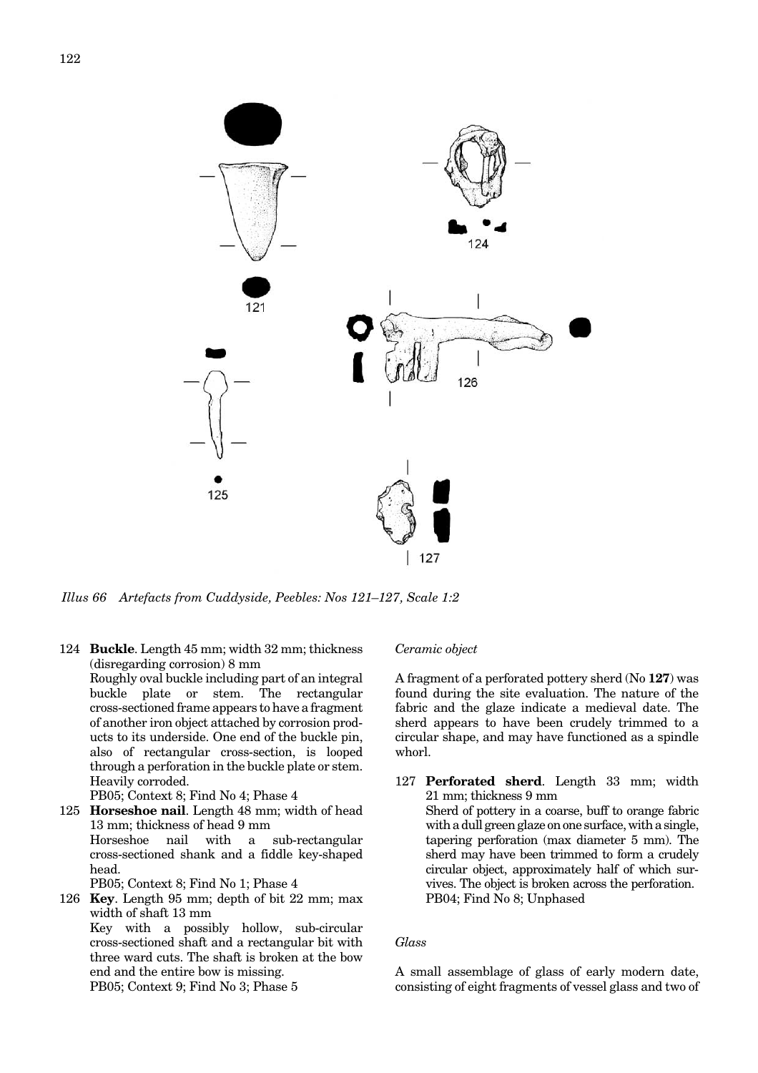<span id="page-15-0"></span>

*Illus 66 Artefacts from Cuddyside, Peebles: Nos 121–127, Scale 1:2*

124 **Buckle**. Length 45 mm; width 32 mm; thickness (disregarding corrosion) 8 mm Roughly oval buckle including part of an integral buckle plate or stem. The rectangular cross-sectioned frame appears to have a fragment of another iron object attached by corrosion products to its underside. One end of the buckle pin, also of rectangular cross-section, is looped through a perforation in the buckle plate or stem. Heavily corroded. PB05; Context 8; Find No 4; Phase 4 125 **Horseshoe nail**. Length 48 mm; width of head 13 mm; thickness of head 9 mm Horseshoe nail with a sub-rectangular

cross-sectioned shank and a fiddle key-shaped head.

PB05; Context 8; Find No 1; Phase 4

126 **Key**. Length 95 mm; depth of bit 22 mm; max width of shaft 13 mm Key with a possibly hollow, sub-circular cross-sectioned shaft and a rectangular bit with three ward cuts. The shaft is broken at the bow end and the entire bow is missing.

PB05; Context 9; Find No 3; Phase 5

## *Ceramic object*

A fragment of a perforated pottery sherd (No **127**) was found during the site evaluation. The nature of the fabric and the glaze indicate a medieval date. The sherd appears to have been crudely trimmed to a circular shape, and may have functioned as a spindle whorl.

127 **Perforated sherd**. Length 33 mm; width 21 mm; thickness 9 mm Sherd of pottery in a coarse, buff to orange fabric with a dull green glaze on one surface, with a single, tapering perforation (max diameter 5 mm). The sherd may have been trimmed to form a crudely circular object, approximately half of which survives. The object is broken across the perforation. PB04; Find No 8; Unphased

## *Glass*

A small assemblage of glass of early modern date, consisting of eight fragments of vessel glass and two of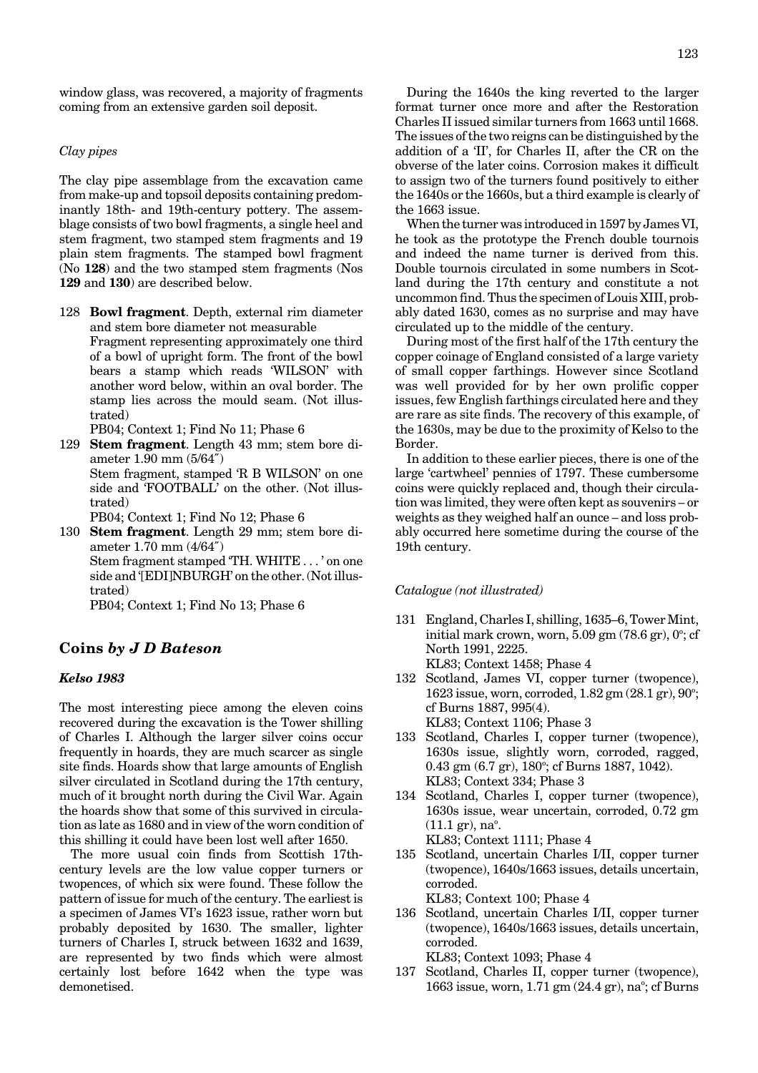window glass, was recovered, a majority of fragments coming from an extensive garden soil deposit.

#### *Clay pipes*

The clay pipe assemblage from the excavation came from make-up and topsoil deposits containing predominantly 18th- and 19th-century pottery. The assemblage consists of two bowl fragments, a single heel and stem fragment, two stamped stem fragments and 19 plain stem fragments. The stamped bowl fragment (No **128**) and the two stamped stem fragments (Nos **129** and **130**) are described below.

- 128 **Bowl fragment**. Depth, external rim diameter and stem bore diameter not measurable Fragment representing approximately one third of a bowl of upright form. The front of the bowl bears a stamp which reads 'WILSON' with another word below, within an oval border. The stamp lies across the mould seam. (Not illustrated)
	- PB04; Context 1; Find No 11; Phase 6
- 129 **Stem fragment**. Length 43 mm; stem bore diameter 1.90 mm (5/64″) Stem fragment, stamped 'R B WILSON' on one side and 'FOOTBALL' on the other. (Not illustrated)
	- PB04; Context 1; Find No 12; Phase 6
- 130 **Stem fragment**. Length 29 mm; stem bore diameter 1.70 mm (4/64″) Stem fragment stamped 'TH. WHITE . . . ' on one side and '[EDI]NBURGH' on the other. (Not illustrated)

PB04; Context 1; Find No 13; Phase 6

# **Coins** *by J D Bateson*

#### *Kelso 1983*

The most interesting piece among the eleven coins recovered during the excavation is the Tower shilling of Charles I. Although the larger silver coins occur frequently in hoards, they are much scarcer as single site finds. Hoards show that large amounts of English silver circulated in Scotland during the 17th century, much of it brought north during the Civil War. Again the hoards show that some of this survived in circulation as late as 1680 and in view of the worn condition of this shilling it could have been lost well after 1650.

The more usual coin finds from Scottish 17thcentury levels are the low value copper turners or twopences, of which six were found. These follow the pattern of issue for much of the century. The earliest is a specimen of James VI's 1623 issue, rather worn but probably deposited by 1630. The smaller, lighter turners of Charles I, struck between 1632 and 1639, are represented by two finds which were almost certainly lost before 1642 when the type was demonetised.

During the 1640s the king reverted to the larger format turner once more and after the Restoration Charles II issued similar turners from 1663 until 1668. The issues of the two reigns can be distinguished by the addition of a 'II', for Charles II, after the CR on the obverse of the later coins. Corrosion makes it difficult to assign two of the turners found positively to either the 1640s or the 1660s, but a third example is clearly of the 1663 issue.

When the turner was introduced in 1597 by James VI, he took as the prototype the French double tournois and indeed the name turner is derived from this. Double tournois circulated in some numbers in Scotland during the 17th century and constitute a not uncommon find. Thus the specimen of Louis XIII, probably dated 1630, comes as no surprise and may have circulated up to the middle of the century.

During most of the first half of the 17th century the copper coinage of England consisted of a large variety of small copper farthings. However since Scotland was well provided for by her own prolific copper issues, few English farthings circulated here and they are rare as site finds. The recovery of this example, of the 1630s, may be due to the proximity of Kelso to the Border.

In addition to these earlier pieces, there is one of the large 'cartwheel' pennies of 1797. These cumbersome coins were quickly replaced and, though their circulation was limited, they were often kept as souvenirs – or weights as they weighed half an ounce – and loss probably occurred here sometime during the course of the 19th century.

#### *Catalogue (not illustrated)*

- 131 England, Charles I, shilling, 1635–6, Tower Mint, initial mark crown, worn,  $5.09$  gm  $(78.6$  gr),  $0^\circ$ ; cf North 1991, 2225. KL83; Context 1458; Phase 4
- 132 Scotland, James VI, copper turner (twopence), 1623 issue, worn, corroded, 1.82 gm (28.1 gr), 90°; cf Burns 1887, 995(4). KL83; Context 1106; Phase 3
- 133 Scotland, Charles I, copper turner (twopence), 1630s issue, slightly worn, corroded, ragged, 0.43 gm (6.7 gr), 180°; cf Burns 1887, 1042). KL83; Context 334; Phase 3
- 134 Scotland, Charles I, copper turner (twopence), 1630s issue, wear uncertain, corroded, 0.72 gm  $(11.1 \text{ gr})$ , na $^{\circ}$ . KL83; Context 1111; Phase 4
- 135 Scotland, uncertain Charles I/II, copper turner (twopence), 1640s/1663 issues, details uncertain, corroded.

KL83; Context 100; Phase 4

- 136 Scotland, uncertain Charles I/II, copper turner (twopence), 1640s/1663 issues, details uncertain, corroded. KL83; Context 1093; Phase 4
- 137 Scotland, Charles II, copper turner (twopence), 1663 issue, worn, 1.71 gm (24.4 gr), na°; cf Burns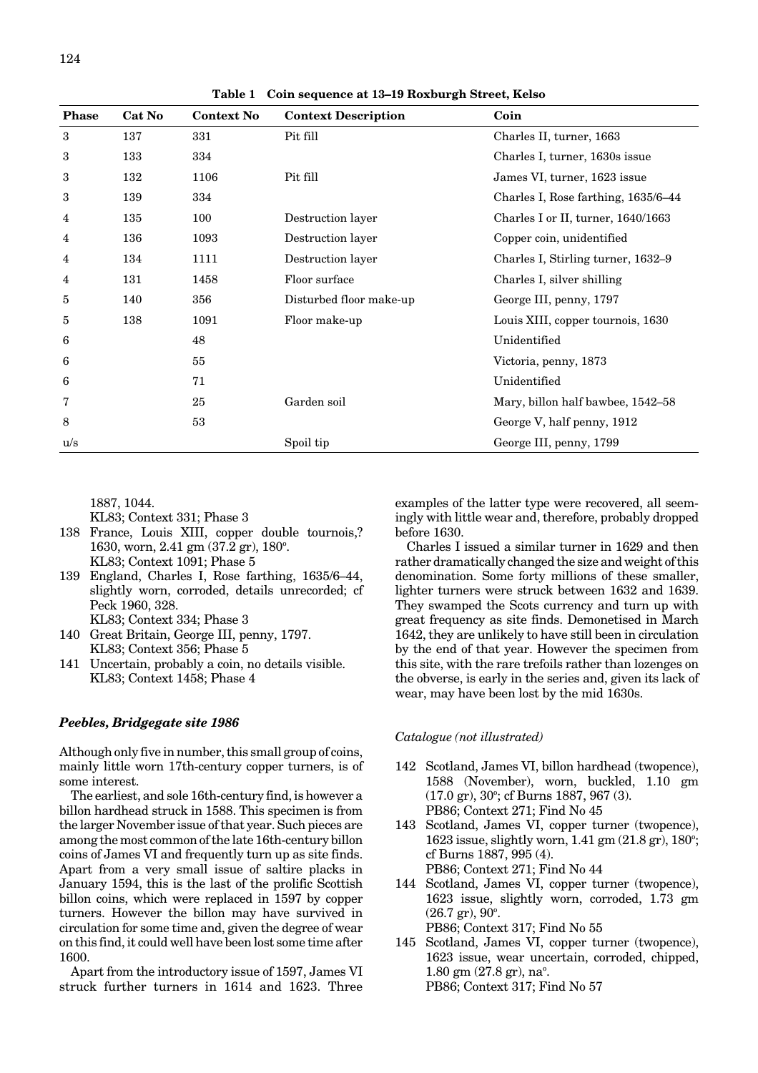| <b>Phase</b> | Cat No | <b>Context No</b> | <b>Context Description</b> | Coin                                |  |
|--------------|--------|-------------------|----------------------------|-------------------------------------|--|
| 3            | 137    | 331               | Pit fill                   | Charles II, turner, 1663            |  |
| 3            | 133    | 334               |                            | Charles I, turner, 1630s issue      |  |
| 3            | 132    | 1106              | Pit fill                   | James VI, turner, 1623 issue        |  |
| 3            | 139    | 334               |                            | Charles I, Rose farthing, 1635/6-44 |  |
| 4            | 135    | 100               | Destruction layer          | Charles I or II, turner, 1640/1663  |  |
| 4            | 136    | 1093              | Destruction layer          | Copper coin, unidentified           |  |
| 4            | 134    | 1111              | Destruction layer          | Charles I, Stirling turner, 1632–9  |  |
| 4            | 131    | 1458              | Floor surface              | Charles I, silver shilling          |  |
| 5            | 140    | 356               | Disturbed floor make-up    | George III, penny, 1797             |  |
| 5            | 138    | 1091              | Floor make-up              | Louis XIII, copper tournois, 1630   |  |
| 6            |        | 48                |                            | Unidentified                        |  |
| 6            |        | 55                |                            | Victoria, penny, 1873               |  |
| 6            |        | 71                |                            | Unidentified                        |  |
| 7            |        | 25                | Garden soil                | Mary, billon half bawbee, 1542–58   |  |
| 8            |        | 53                |                            | George V, half penny, 1912          |  |
| u/s          |        |                   | Spoil tip                  | George III, penny, 1799             |  |

**Table 1 Coin sequence at 13–19 Roxburgh Street, Kelso**

1887, 1044.

KL83; Context 331; Phase 3

- 138 France, Louis XIII, copper double tournois,? 1630, worn, 2.41 gm (37.2 gr), 180°. KL83; Context 1091; Phase 5
- 139 England, Charles I, Rose farthing, 1635/6–44, slightly worn, corroded, details unrecorded; cf Peck 1960, 328. KL83; Context 334; Phase 3
- 140 Great Britain, George III, penny, 1797. KL83; Context 356; Phase 5
- 141 Uncertain, probably a coin, no details visible. KL83; Context 1458; Phase 4

## *Peebles, Bridgegate site 1986*

Although only five in number, this small group of coins, mainly little worn 17th-century copper turners, is of some interest.

The earliest, and sole 16th-century find, is however a billon hardhead struck in 1588. This specimen is from the larger November issue of that year. Such pieces are among the most common of the late 16th-century billon coins of James VI and frequently turn up as site finds. Apart from a very small issue of saltire placks in January 1594, this is the last of the prolific Scottish billon coins, which were replaced in 1597 by copper turners. However the billon may have survived in circulation for some time and, given the degree of wear on this find, it could well have been lost some time after 1600.

Apart from the introductory issue of 1597, James VI struck further turners in 1614 and 1623. Three examples of the latter type were recovered, all seemingly with little wear and, therefore, probably dropped before 1630.

Charles I issued a similar turner in 1629 and then rather dramatically changed the size and weight of this denomination. Some forty millions of these smaller, lighter turners were struck between 1632 and 1639. They swamped the Scots currency and turn up with great frequency as site finds. Demonetised in March 1642, they are unlikely to have still been in circulation by the end of that year. However the specimen from this site, with the rare trefoils rather than lozenges on the obverse, is early in the series and, given its lack of wear, may have been lost by the mid 1630s.

#### *Catalogue (not illustrated)*

- 142 Scotland, James VI, billon hardhead (twopence), 1588 (November), worn, buckled, 1.10 gm  $(17.0 \text{ gr})$ ,  $30^{\circ}$ ; cf Burns 1887, 967 (3). PB86; Context 271; Find No 45
- 143 Scotland, James VI, copper turner (twopence), 1623 issue, slightly worn, 1.41 gm (21.8 gr), 180°; cf Burns 1887, 995 (4). PB86; Context 271; Find No 44
- 144 Scotland, James VI, copper turner (twopence), 1623 issue, slightly worn, corroded, 1.73 gm  $(26.7 \text{ gr})$ ,  $90^{\circ}$ . PB86; Context 317; Find No 55
- 145 Scotland, James VI, copper turner (twopence), 1623 issue, wear uncertain, corroded, chipped,  $1.80$  gm  $(27.8$  gr), na $^{\circ}$ . PB86; Context 317; Find No 57